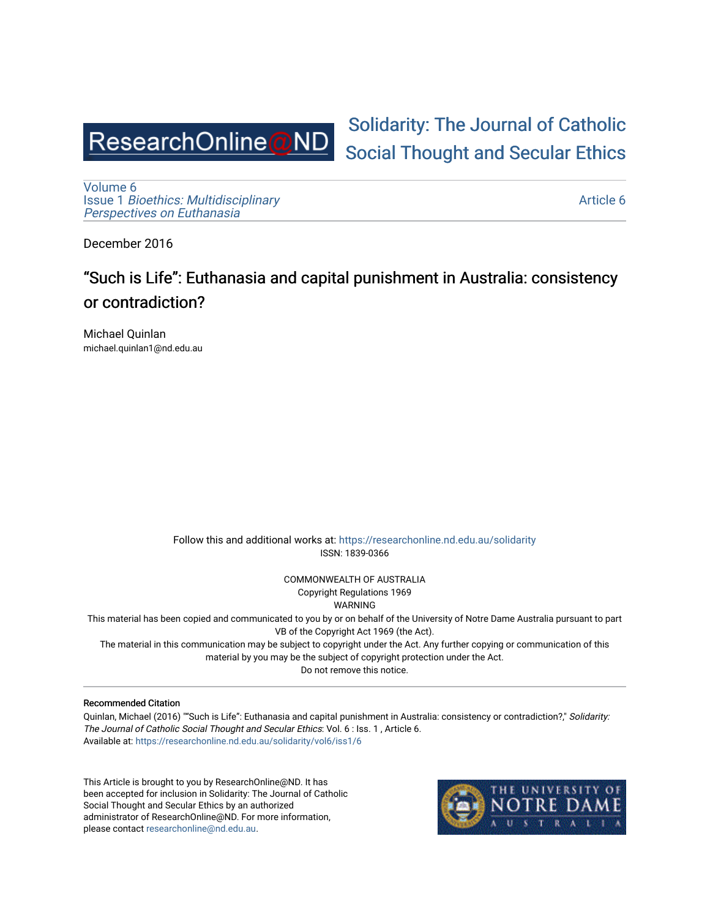

# [Solidarity: The Journal of Catholic](https://researchonline.nd.edu.au/solidarity)  [Social Thought and Secular Ethics](https://researchonline.nd.edu.au/solidarity)

[Volume 6](https://researchonline.nd.edu.au/solidarity/vol6) Issue 1 [Bioethics: Multidisciplinary](https://researchonline.nd.edu.au/solidarity/vol6/iss1)  [Perspectives on Euthanasia](https://researchonline.nd.edu.au/solidarity/vol6/iss1) 

[Article 6](https://researchonline.nd.edu.au/solidarity/vol6/iss1/6) 

December 2016

# "Such is Life": Euthanasia and capital punishment in Australia: consistency or contradiction?

Michael Quinlan michael.quinlan1@nd.edu.au

> Follow this and additional works at: [https://researchonline.nd.edu.au/solidarity](https://researchonline.nd.edu.au/solidarity?utm_source=researchonline.nd.edu.au%2Fsolidarity%2Fvol6%2Fiss1%2F6&utm_medium=PDF&utm_campaign=PDFCoverPages)  ISSN: 1839-0366

> > COMMONWEALTH OF AUSTRALIA Copyright Regulations 1969

WARNING

This material has been copied and communicated to you by or on behalf of the University of Notre Dame Australia pursuant to part VB of the Copyright Act 1969 (the Act).

The material in this communication may be subject to copyright under the Act. Any further copying or communication of this material by you may be the subject of copyright protection under the Act.

Do not remove this notice.

#### Recommended Citation

Quinlan, Michael (2016) ""Such is Life": Euthanasia and capital punishment in Australia: consistency or contradiction?," Solidarity: The Journal of Catholic Social Thought and Secular Ethics: Vol. 6 : Iss. 1 , Article 6. Available at: [https://researchonline.nd.edu.au/solidarity/vol6/iss1/6](https://researchonline.nd.edu.au/solidarity/vol6/iss1/6?utm_source=researchonline.nd.edu.au%2Fsolidarity%2Fvol6%2Fiss1%2F6&utm_medium=PDF&utm_campaign=PDFCoverPages) 

This Article is brought to you by ResearchOnline@ND. It has been accepted for inclusion in Solidarity: The Journal of Catholic Social Thought and Secular Ethics by an authorized administrator of ResearchOnline@ND. For more information, please contact [researchonline@nd.edu.au.](mailto:researchonline@nd.edu.au)

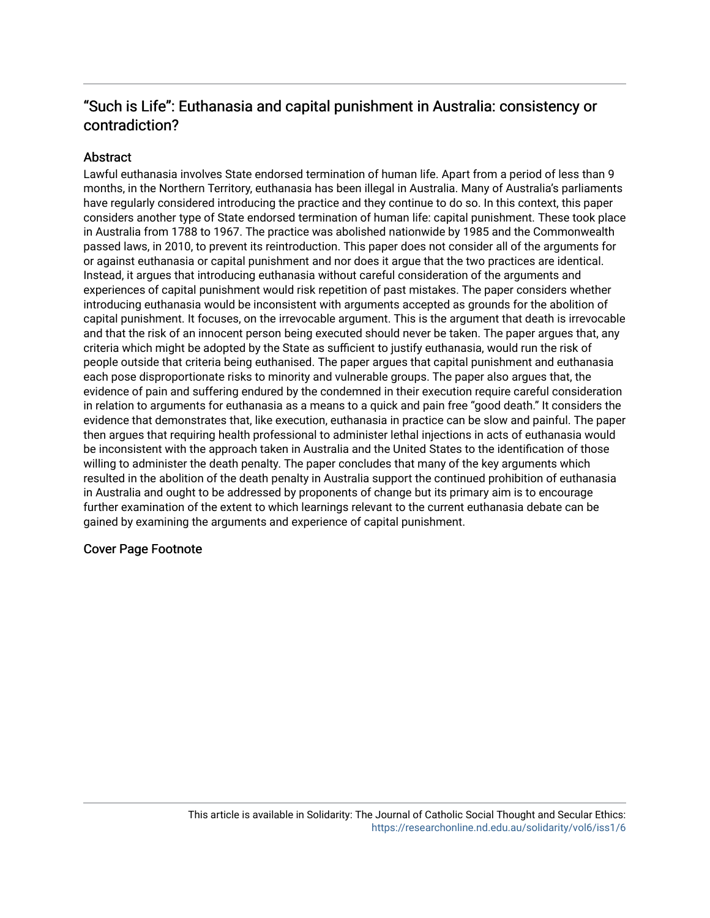# "Such is Life": Euthanasia and capital punishment in Australia: consistency or contradiction?

### **Abstract**

Lawful euthanasia involves State endorsed termination of human life. Apart from a period of less than 9 months, in the Northern Territory, euthanasia has been illegal in Australia. Many of Australia's parliaments have regularly considered introducing the practice and they continue to do so. In this context, this paper considers another type of State endorsed termination of human life: capital punishment. These took place in Australia from 1788 to 1967. The practice was abolished nationwide by 1985 and the Commonwealth passed laws, in 2010, to prevent its reintroduction. This paper does not consider all of the arguments for or against euthanasia or capital punishment and nor does it argue that the two practices are identical. Instead, it argues that introducing euthanasia without careful consideration of the arguments and experiences of capital punishment would risk repetition of past mistakes. The paper considers whether introducing euthanasia would be inconsistent with arguments accepted as grounds for the abolition of capital punishment. It focuses, on the irrevocable argument. This is the argument that death is irrevocable and that the risk of an innocent person being executed should never be taken. The paper argues that, any criteria which might be adopted by the State as sufficient to justify euthanasia, would run the risk of people outside that criteria being euthanised. The paper argues that capital punishment and euthanasia each pose disproportionate risks to minority and vulnerable groups. The paper also argues that, the evidence of pain and suffering endured by the condemned in their execution require careful consideration in relation to arguments for euthanasia as a means to a quick and pain free "good death." It considers the evidence that demonstrates that, like execution, euthanasia in practice can be slow and painful. The paper then argues that requiring health professional to administer lethal injections in acts of euthanasia would be inconsistent with the approach taken in Australia and the United States to the identification of those willing to administer the death penalty. The paper concludes that many of the key arguments which resulted in the abolition of the death penalty in Australia support the continued prohibition of euthanasia in Australia and ought to be addressed by proponents of change but its primary aim is to encourage further examination of the extent to which learnings relevant to the current euthanasia debate can be gained by examining the arguments and experience of capital punishment.

#### Cover Page Footnote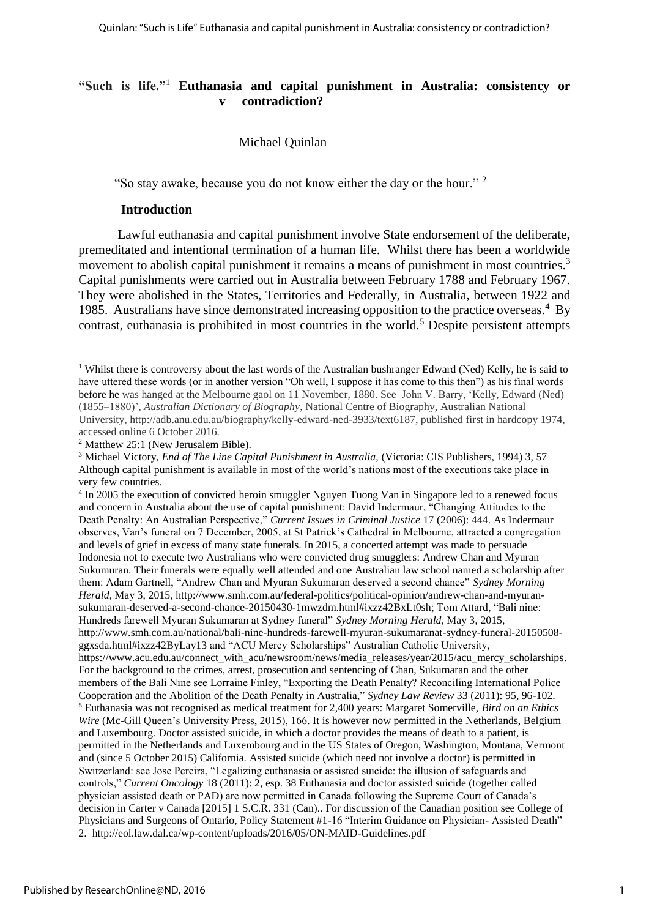### **"Such is life."**<sup>1</sup> **Euthanasia and capital punishment in Australia: consistency or** *contradiction?*

#### Michael Quinlan

"So stay awake, because you do not know either the day or the hour." <sup>2</sup> 

#### **Introduction**

Lawful euthanasia and capital punishment involve State endorsement of the deliberate, premeditated and intentional termination of a human life. Whilst there has been a worldwide movement to abolish capital punishment it remains a means of punishment in most countries.<sup>3</sup> Capital punishments were carried out in Australia between February 1788 and February 1967. They were abolished in the States, Territories and Federally, in Australia, between 1922 and 1985. Australians have since demonstrated increasing opposition to the practice overseas.<sup>4</sup> By contrast, euthanasia is prohibited in most countries in the world.<sup>5</sup> Despite persistent attempts

<sup>&</sup>lt;sup>1</sup> Whilst there is controversy about the last words of the Australian bushranger Edward (Ned) Kelly, he is said to have uttered these words (or in another version "Oh well, I suppose it has come to this then") as his final words before he was hanged at the Melbourne gaol on 11 November, 1880. See John V. Barry, 'Kelly, Edward (Ned) (1855–1880)', *Australian Dictionary of Biography*, National Centre of Biography, Australian National University, http://adb.anu.edu.au/biography/kelly-edward-ned-3933/text6187, published first in hardcopy 1974, accessed online 6 October 2016.

<sup>2</sup> Matthew 25:1 (New Jerusalem Bible).

<sup>3</sup> Michael Victory, *End of The Line Capital Punishment in Australia,* (Victoria: CIS Publishers, 1994) 3, 57 Although capital punishment is available in most of the world's nations most of the executions take place in very few countries.

<sup>4</sup> In 2005 the execution of convicted heroin smuggler Nguyen Tuong Van in Singapore led to a renewed focus and concern in Australia about the use of capital punishment: David Indermaur, "Changing Attitudes to the Death Penalty: An Australian Perspective," *Current Issues in Criminal Justice* 17 (2006): 444. As Indermaur observes, Van's funeral on 7 December, 2005, at St Patrick's Cathedral in Melbourne, attracted a congregation and levels of grief in excess of many state funerals. In 2015, a concerted attempt was made to persuade Indonesia not to execute two Australians who were convicted drug smugglers: Andrew Chan and Myuran Sukumuran. Their funerals were equally well attended and one Australian law school named a scholarship after them: Adam Gartnell, "Andrew Chan and Myuran Sukumaran deserved a second chance" *Sydney Morning Herald*, May 3, 2015, [http://www.smh.com.au/federal-politics/political-opinion/andrew-chan-and-myuran](http://www.smh.com.au/federal-politics/political-opinion/andrew-chan-and-myuran-sukumaran-deserved-a-second-chance-20150430-1mwzdm.html#ixzz42BxLt0sh)[sukumaran-deserved-a-second-chance-20150430-1mwzdm.html#ixzz42BxLt0sh;](http://www.smh.com.au/federal-politics/political-opinion/andrew-chan-and-myuran-sukumaran-deserved-a-second-chance-20150430-1mwzdm.html#ixzz42BxLt0sh) Tom Attard, "Bali nine: Hundreds farewell Myuran Sukumaran at Sydney funeral" *Sydney Morning Herald*, May 3, 2015, [http://www.smh.com.au/national/bali-nine-hundreds-farewell-myuran-sukumaranat-sydney-funeral-20150508](http://www.smh.com.au/national/bali-nine-hundreds-farewell-myuran-sukumaranat-sydney-funeral-20150508-ggxsda.html#ixzz42ByLay13) [ggxsda.html#ixzz42ByLay13](http://www.smh.com.au/national/bali-nine-hundreds-farewell-myuran-sukumaranat-sydney-funeral-20150508-ggxsda.html#ixzz42ByLay13) and "ACU Mercy Scholarships" Australian Catholic University, [https://www.acu.edu.au/connect\\_with\\_acu/newsroom/news/media\\_releases/year/2015/acu\\_mercy\\_scholarships.](https://www.acu.edu.au/connect_with_acu/newsroom/news/media_releases/year/2015/acu_mercy_scholarships) For the background to the crimes, arrest, prosecution and sentencing of Chan, Sukumaran and the other members of the Bali Nine see Lorraine Finley, "Exporting the Death Penalty? Reconciling International Police Cooperation and the Abolition of the Death Penalty in Australia," *Sydney Law Review* 33 (2011): 95, 96-102. <sup>5</sup> Euthanasia was not recognised as medical treatment for 2,400 years: Margaret Somerville, *Bird on an Ethics Wire* (Mc-Gill Queen's University Press, 2015), 166. It is however now permitted in the Netherlands, Belgium and Luxembourg*.* Doctor assisted suicide, in which a doctor provides the means of death to a patient, is permitted in the Netherlands and Luxembourg and in the US States of Oregon, Washington, Montana, Vermont and (since 5 October 2015) California. Assisted suicide (which need not involve a doctor) is permitted in Switzerland: see Jose Pereira, "Legalizing euthanasia or assisted suicide: the illusion of safeguards and controls," *Current Oncology* 18 (2011): 2, esp. 38 Euthanasia and doctor assisted suicide (together called physician assisted death or PAD) are now permitted in Canada following the Supreme Court of Canada's decision in Carter v Canada [2015] 1 S.C.R. 331 (Can).. For discussion of the Canadian position see College of Physicians and Surgeons of Ontario, Policy Statement #1-16 "Interim Guidance on Physician- Assisted Death" 2.<http://eol.law.dal.ca/wp-content/uploads/2016/05/ON-MAID-Guidelines.pdf>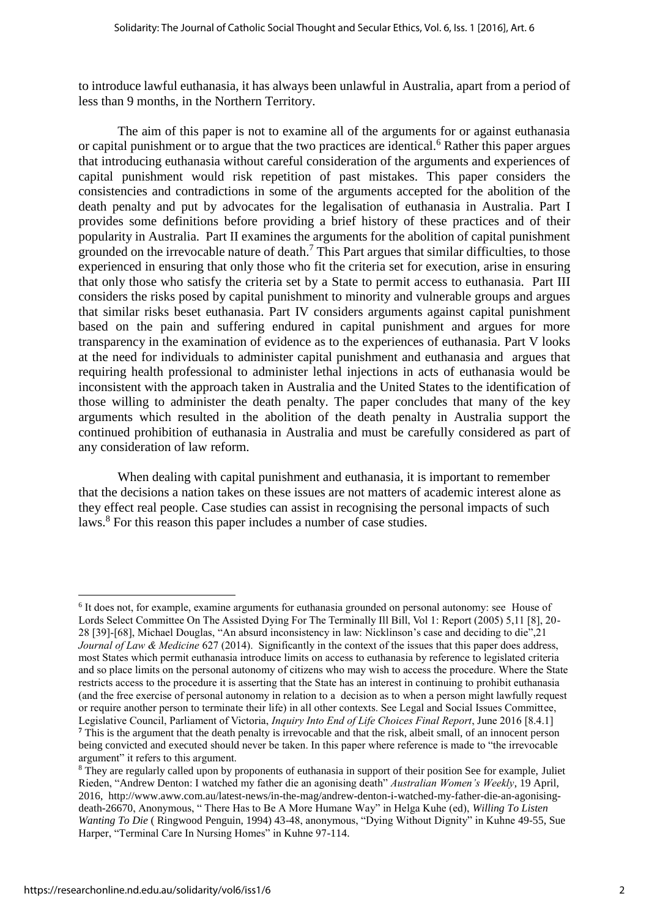to introduce lawful euthanasia, it has always been unlawful in Australia, apart from a period of less than 9 months, in the Northern Territory.

The aim of this paper is not to examine all of the arguments for or against euthanasia or capital punishment or to argue that the two practices are identical.<sup>6</sup> Rather this paper argues that introducing euthanasia without careful consideration of the arguments and experiences of capital punishment would risk repetition of past mistakes. This paper considers the consistencies and contradictions in some of the arguments accepted for the abolition of the death penalty and put by advocates for the legalisation of euthanasia in Australia. Part I provides some definitions before providing a brief history of these practices and of their popularity in Australia. Part II examines the arguments for the abolition of capital punishment grounded on the irrevocable nature of death. <sup>7</sup> This Part argues that similar difficulties, to those experienced in ensuring that only those who fit the criteria set for execution, arise in ensuring that only those who satisfy the criteria set by a State to permit access to euthanasia. Part III considers the risks posed by capital punishment to minority and vulnerable groups and argues that similar risks beset euthanasia. Part IV considers arguments against capital punishment based on the pain and suffering endured in capital punishment and argues for more transparency in the examination of evidence as to the experiences of euthanasia. Part V looks at the need for individuals to administer capital punishment and euthanasia and argues that requiring health professional to administer lethal injections in acts of euthanasia would be inconsistent with the approach taken in Australia and the United States to the identification of those willing to administer the death penalty. The paper concludes that many of the key arguments which resulted in the abolition of the death penalty in Australia support the continued prohibition of euthanasia in Australia and must be carefully considered as part of any consideration of law reform.

When dealing with capital punishment and euthanasia, it is important to remember that the decisions a nation takes on these issues are not matters of academic interest alone as they effect real people. Case studies can assist in recognising the personal impacts of such laws. <sup>8</sup> For this reason this paper includes a number of case studies.

<sup>6</sup> It does not, for example, examine arguments for euthanasia grounded on personal autonomy: see House of Lords Select Committee On The Assisted Dying For The Terminally Ill Bill, Vol 1: Report (2005) 5,11 [8], 20- 28 [39]-[68], Michael Douglas, "An absurd inconsistency in law: Nicklinson's case and deciding to die",21 *Journal of Law & Medicine* 627 (2014). Significantly in the context of the issues that this paper does address, most States which permit euthanasia introduce limits on access to euthanasia by reference to legislated criteria and so place limits on the personal autonomy of citizens who may wish to access the procedure. Where the State restricts access to the procedure it is asserting that the State has an interest in continuing to prohibit euthanasia (and the free exercise of personal autonomy in relation to a decision as to when a person might lawfully request or require another person to terminate their life) in all other contexts. See Legal and Social Issues Committee, Legislative Council, Parliament of Victoria, *Inquiry Into End of Life Choices Final Report*, June 2016 [8.4.1] **<sup>7</sup>** This is the argument that the death penalty is irrevocable and that the risk, albeit small, of an innocent person being convicted and executed should never be taken. In this paper where reference is made to "the irrevocable argument" it refers to this argument.

<sup>&</sup>lt;sup>8</sup> They are regularly called upon by proponents of euthanasia in support of their position See for example, Juliet Rieden, "Andrew Denton: I watched my father die an agonising death" *Australian Women's Weekly*, 19 April, 2016, [http://www.aww.com.au/latest-news/in-the-mag/andrew-denton-i-watched-my-father-die-an-agonising](http://www.aww.com.au/latest-news/in-the-mag/andrew-denton-i-watched-my-father-die-an-agonising-death-26670)[death-26670,](http://www.aww.com.au/latest-news/in-the-mag/andrew-denton-i-watched-my-father-die-an-agonising-death-26670) Anonymous, " There Has to Be A More Humane Way" in Helga Kuhe (ed), *Willing To Listen Wanting To Die* ( Ringwood Penguin, 1994) 43-48, anonymous, "Dying Without Dignity" in Kuhne 49-55, Sue Harper, "Terminal Care In Nursing Homes" in Kuhne 97-114.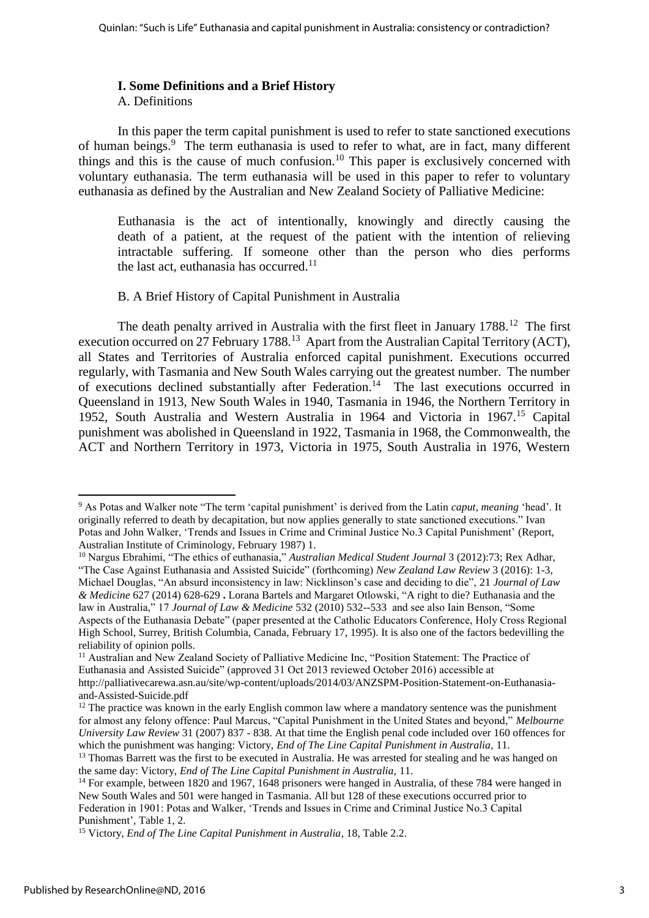#### **I. Some Definitions and a Brief History**

A. Definitions

In this paper the term capital punishment is used to refer to state sanctioned executions of human beings.<sup>9</sup> The term euthanasia is used to refer to what, are in fact, many different things and this is the cause of much confusion.<sup>10</sup> This paper is exclusively concerned with voluntary euthanasia. The term euthanasia will be used in this paper to refer to voluntary euthanasia as defined by the Australian and New Zealand Society of Palliative Medicine:

Euthanasia is the act of intentionally, knowingly and directly causing the death of a patient, at the request of the patient with the intention of relieving intractable suffering. If someone other than the person who dies performs the last act, euthanasia has occurred.<sup>11</sup>

#### B. A Brief History of Capital Punishment in Australia

The death penalty arrived in Australia with the first fleet in January 1788.<sup>12</sup> The first execution occurred on 27 February 1788.<sup>13</sup> Apart from the Australian Capital Territory (ACT), all States and Territories of Australia enforced capital punishment. Executions occurred regularly, with Tasmania and New South Wales carrying out the greatest number. The number of executions declined substantially after Federation.<sup>14</sup> The last executions occurred in Queensland in 1913, New South Wales in 1940, Tasmania in 1946, the Northern Territory in 1952, South Australia and Western Australia in 1964 and Victoria in 1967.<sup>15</sup> Capital punishment was abolished in Queensland in 1922, Tasmania in 1968, the Commonwealth, the ACT and Northern Territory in 1973, Victoria in 1975, South Australia in 1976, Western

<sup>10</sup> Nargus Ebrahimi, "The ethics of euthanasia," *Australian Medical Student Journal* 3 (2012):73; Rex Adhar, "The Case Against Euthanasia and Assisted Suicide" (forthcoming) *New Zealand Law Review* 3 (2016): 1-3, Michael Douglas, "An absurd inconsistency in law: Nicklinson's case and deciding to die", 21 *Journal of Law* 

<sup>9</sup> As Potas and Walker note "The term 'capital punishment' is derived from the Latin *caput, meaning* 'head'. It originally referred to death by decapitation, but now applies generally to state sanctioned executions." Ivan Potas and John Walker, 'Trends and Issues in Crime and Criminal Justice No.3 Capital Punishment' (Report, Australian Institute of Criminology, February 1987) 1.

*<sup>&</sup>amp; Medicine* 627 (2014) 628-629 **.** Lorana Bartels and Margaret Otlowski, "A right to die? Euthanasia and the law in Australia," 17 *Journal of Law & Medicine* 532 (2010) 532--533 and see also Iain Benson, "Some Aspects of the Euthanasia Debate" (paper presented at the Catholic Educators Conference, Holy Cross Regional High School, Surrey, British Columbia, Canada, February 17, 1995). It is also one of the factors bedevilling the reliability of opinion polls.

<sup>11</sup> Australian and New Zealand Society of Palliative Medicine Inc, "Position Statement: The Practice of Euthanasia and Assisted Suicide" (approved 31 Oct 2013 reviewed October 2016) accessible at [http://palliativecarewa.asn.au/site/wp-content/uploads/2014/03/ANZSPM-Position-Statement-on-Euthanasia](http://palliativecarewa.asn.au/site/wp-content/uploads/2014/03/ANZSPM-Position-Statement-on-Euthanasia-and-Assisted-Suicide.pdf)[and-Assisted-Suicide.pdf](http://palliativecarewa.asn.au/site/wp-content/uploads/2014/03/ANZSPM-Position-Statement-on-Euthanasia-and-Assisted-Suicide.pdf)

 $12$  The practice was known in the early English common law where a mandatory sentence was the punishment for almost any felony offence: Paul Marcus, "Capital Punishment in the United States and beyond," *Melbourne University Law Review* 31 (2007) 837 - 838. At that time the English penal code included over 160 offences for which the punishment was hanging: Victory, *End of The Line Capital Punishment in Australia,* 11.

<sup>&</sup>lt;sup>13</sup> Thomas Barrett was the first to be executed in Australia. He was arrested for stealing and he was hanged on the same day: Victory, *End of The Line Capital Punishment in Australia,* 11.

<sup>&</sup>lt;sup>14</sup> For example, between 1820 and 1967, 1648 prisoners were hanged in Australia, of these 784 were hanged in New South Wales and 501 were hanged in Tasmania. All but 128 of these executions occurred prior to Federation in 1901: Potas and Walker, 'Trends and Issues in Crime and Criminal Justice No.3 Capital Punishment'*,* Table 1, 2.

<sup>15</sup> Victory, *End of The Line Capital Punishment in Australia*, 18, Table 2.2.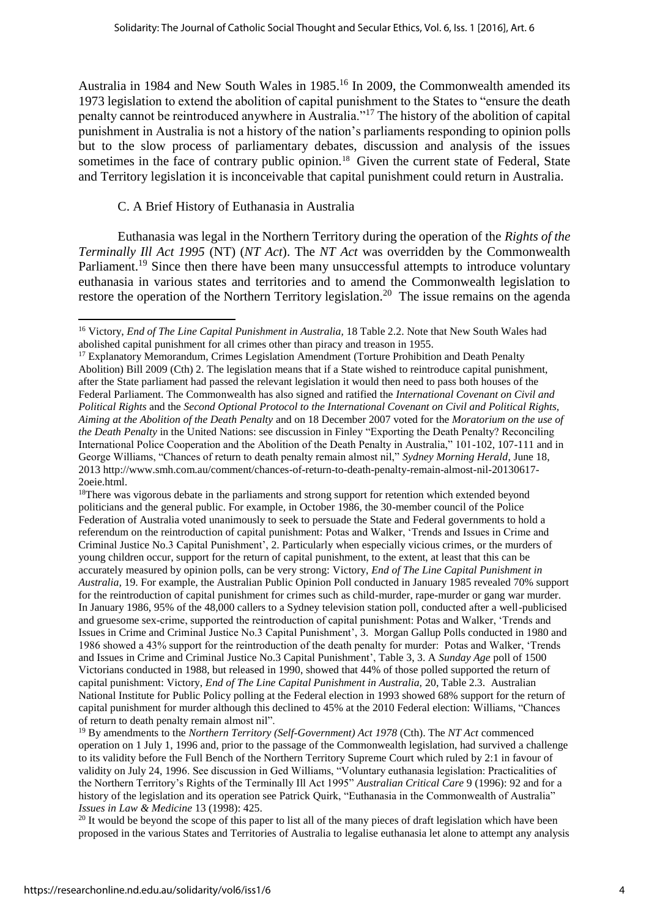Australia in 1984 and New South Wales in 1985. <sup>16</sup> In 2009, the Commonwealth amended its 1973 legislation to extend the abolition of capital punishment to the States to "ensure the death penalty cannot be reintroduced anywhere in Australia."<sup>17</sup> The history of the abolition of capital punishment in Australia is not a history of the nation's parliaments responding to opinion polls but to the slow process of parliamentary debates, discussion and analysis of the issues sometimes in the face of contrary public opinion.<sup>18</sup> Given the current state of Federal, State and Territory legislation it is inconceivable that capital punishment could return in Australia.

#### C. A Brief History of Euthanasia in Australia

**.** 

Euthanasia was legal in the Northern Territory during the operation of the *Rights of the Terminally Ill Act 1995* (NT) (*NT Act*). The *NT Act* was overridden by the Commonwealth Parliament.<sup>19</sup> Since then there have been many unsuccessful attempts to introduce voluntary euthanasia in various states and territories and to amend the Commonwealth legislation to restore the operation of the Northern Territory legislation.<sup>20</sup> The issue remains on the agenda

<sup>18</sup>There was vigorous debate in the parliaments and strong support for retention which extended beyond politicians and the general public. For example, in October 1986, the 30-member council of the Police Federation of Australia voted unanimously to seek to persuade the State and Federal governments to hold a referendum on the reintroduction of capital punishment: Potas and Walker, 'Trends and Issues in Crime and Criminal Justice No.3 Capital Punishment', 2. Particularly when especially vicious crimes, or the murders of young children occur, support for the return of capital punishment, to the extent, at least that this can be accurately measured by opinion polls, can be very strong: Victory, *End of The Line Capital Punishment in Australia,* 19. For example, the Australian Public Opinion Poll conducted in January 1985 revealed 70% support for the reintroduction of capital punishment for crimes such as child-murder, rape-murder or gang war murder. In January 1986, 95% of the 48,000 callers to a Sydney television station poll, conducted after a well-publicised and gruesome sex-crime, supported the reintroduction of capital punishment: Potas and Walker, 'Trends and Issues in Crime and Criminal Justice No.3 Capital Punishment', 3.Morgan Gallup Polls conducted in 1980 and 1986 showed a 43% support for the reintroduction of the death penalty for murder: Potas and Walker, 'Trends and Issues in Crime and Criminal Justice No.3 Capital Punishment', Table 3, 3. A *Sunday Age* poll of 1500 Victorians conducted in 1988, but released in 1990, showed that 44% of those polled supported the return of capital punishment: Victory, *End of The Line Capital Punishment in Australia,* 20, Table 2.3.Australian National Institute for Public Policy polling at the Federal election in 1993 showed 68% support for the return of capital punishment for murder although this declined to 45% at the 2010 Federal election: Williams, "Chances of return to death penalty remain almost nil".

<sup>19</sup> By amendments to the *Northern Territory (Self-Government) Act 1978* (Cth). The *NT Act* commenced operation on 1 July 1, 1996 and, prior to the passage of the Commonwealth legislation, had survived a challenge to its validity before the Full Bench of the Northern Territory Supreme Court which ruled by 2:1 in favour of validity on July 24, 1996. See discussion in Ged Williams, "Voluntary euthanasia legislation: Practicalities of the Northern Territory's Rights of the Terminally Ill Act 1995" *Australian Critical Care* 9 (1996): 92 and for a history of the legislation and its operation see Patrick Quirk, "Euthanasia in the Commonwealth of Australia" *Issues in Law & Medicine* 13 (1998): 425.

 $20$  It would be beyond the scope of this paper to list all of the many pieces of draft legislation which have been proposed in the various States and Territories of Australia to legalise euthanasia let alone to attempt any analysis

<sup>16</sup> Victory, *End of The Line Capital Punishment in Australia,* 18 Table 2.2. Note that New South Wales had abolished capital punishment for all crimes other than piracy and treason in 1955.

<sup>&</sup>lt;sup>17</sup> Explanatory Memorandum, Crimes Legislation Amendment (Torture Prohibition and Death Penalty Abolition) Bill 2009 (Cth) 2. The legislation means that if a State wished to reintroduce capital punishment, after the State parliament had passed the relevant legislation it would then need to pass both houses of the Federal Parliament. The Commonwealth has also signed and ratified the *International Covenant on Civil and Political Rights* and the *Second Optional Protocol to the International Covenant on Civil and Political Rights, Aiming at the Abolition of the Death Penalty* and on 18 December 2007 voted for the *Moratorium on the use of the Death Penalty* in the United Nations: see discussion in Finley "Exporting the Death Penalty? Reconciling International Police Cooperation and the Abolition of the Death Penalty in Australia," 101-102, 107-111 and in George Williams, "Chances of return to death penalty remain almost nil," *Sydney Morning Herald*, June 18, 201[3 http://www.smh.com.au/comment/chances-of-return-to-death-penalty-remain-almost-nil-20130617-](http://www.smh.com.au/comment/chances-of-return-to-death-penalty-remain-almost-nil-20130617-2oeie.html) [2oeie.html.](http://www.smh.com.au/comment/chances-of-return-to-death-penalty-remain-almost-nil-20130617-2oeie.html)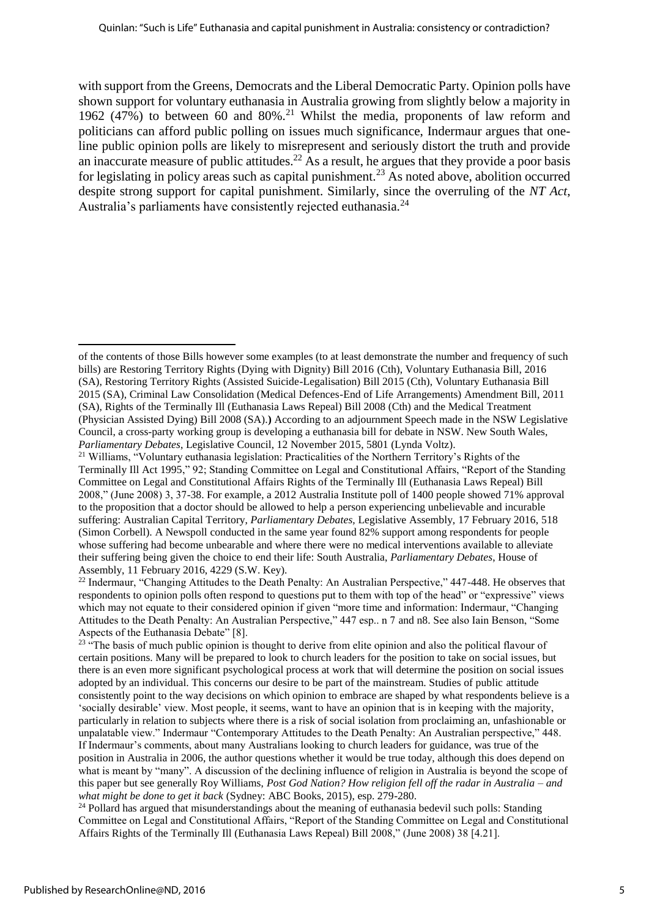with support from the Greens, Democrats and the Liberal Democratic Party. Opinion polls have shown support for voluntary euthanasia in Australia growing from slightly below a majority in 1962 (47%) to between 60 and 80%.<sup>21</sup> Whilst the media, proponents of law reform and politicians can afford public polling on issues much significance, Indermaur argues that oneline public opinion polls are likely to misrepresent and seriously distort the truth and provide an inaccurate measure of public attitudes.<sup>22</sup> As a result, he argues that they provide a poor basis for legislating in policy areas such as capital punishment.<sup>23</sup> As noted above, abolition occurred despite strong support for capital punishment. Similarly, since the overruling of the *NT Act*, Australia's parliaments have consistently rejected euthanasia.<sup>24</sup>

of the contents of those Bills however some examples (to at least demonstrate the number and frequency of such bills) are Restoring Territory Rights (Dying with Dignity) Bill 2016 (Cth), Voluntary Euthanasia Bill, 2016 (SA), Restoring Territory Rights (Assisted Suicide-Legalisation) Bill 2015 (Cth), Voluntary Euthanasia Bill 2015 (SA), Criminal Law Consolidation (Medical Defences-End of Life Arrangements) Amendment Bill, 2011 (SA), Rights of the Terminally Ill (Euthanasia Laws Repeal) Bill 2008 (Cth) and the Medical Treatment (Physician Assisted Dying) Bill 2008 (SA).**)** According to an adjournment Speech made in the NSW Legislative Council, a cross-party working group is developing a euthanasia bill for debate in NSW. New South Wales, *Parliamentary Debates*, Legislative Council, 12 November 2015, 5801 (Lynda Voltz).

<sup>&</sup>lt;sup>21</sup> Williams, "Voluntary euthanasia legislation: Practicalities of the Northern Territory's Rights of the Terminally Ill Act 1995," 92; Standing Committee on Legal and Constitutional Affairs, "Report of the Standing Committee on Legal and Constitutional Affairs Rights of the Terminally Ill (Euthanasia Laws Repeal) Bill 2008," (June 2008) 3, 37-38. For example, a 2012 Australia Institute poll of 1400 people showed 71% approval to the proposition that a doctor should be allowed to help a person experiencing unbelievable and incurable suffering: Australian Capital Territory, *Parliamentary Debates,* Legislative Assembly, 17 February 2016, 518 (Simon Corbell). A Newspoll conducted in the same year found 82% support among respondents for people whose suffering had become unbearable and where there were no medical interventions available to alleviate their suffering being given the choice to end their life: South Australia, *Parliamentary Debates*, House of Assembly, 11 February 2016, 4229 (S.W. Key).

<sup>&</sup>lt;sup>22</sup> Indermaur, "Changing Attitudes to the Death Penalty: An Australian Perspective," 447-448. He observes that respondents to opinion polls often respond to questions put to them with top of the head" or "expressive" views which may not equate to their considered opinion if given "more time and information: Indermaur, "Changing Attitudes to the Death Penalty: An Australian Perspective," 447 esp.. n 7 and n8. See also Iain Benson, "Some Aspects of the Euthanasia Debate" [8].

<sup>&</sup>lt;sup>23</sup> "The basis of much public opinion is thought to derive from elite opinion and also the political flavour of certain positions. Many will be prepared to look to church leaders for the position to take on social issues, but there is an even more significant psychological process at work that will determine the position on social issues adopted by an individual. This concerns our desire to be part of the mainstream. Studies of public attitude consistently point to the way decisions on which opinion to embrace are shaped by what respondents believe is a 'socially desirable' view. Most people, it seems, want to have an opinion that is in keeping with the majority, particularly in relation to subjects where there is a risk of social isolation from proclaiming an, unfashionable or unpalatable view." Indermaur "Contemporary Attitudes to the Death Penalty: An Australian perspective," 448. If Indermaur's comments, about many Australians looking to church leaders for guidance, was true of the position in Australia in 2006, the author questions whether it would be true today, although this does depend on what is meant by "many". A discussion of the declining influence of religion in Australia is beyond the scope of this paper but see generally Roy Williams, *Post God Nation? How religion fell off the radar in Australia – and what might be done to get it back* (Sydney: ABC Books, 2015), esp. 279-280.

 $24$  Pollard has argued that misunderstandings about the meaning of euthanasia bedevil such polls: Standing Committee on Legal and Constitutional Affairs, "Report of the Standing Committee on Legal and Constitutional Affairs Rights of the Terminally Ill (Euthanasia Laws Repeal) Bill 2008," (June 2008) 38 [4.21].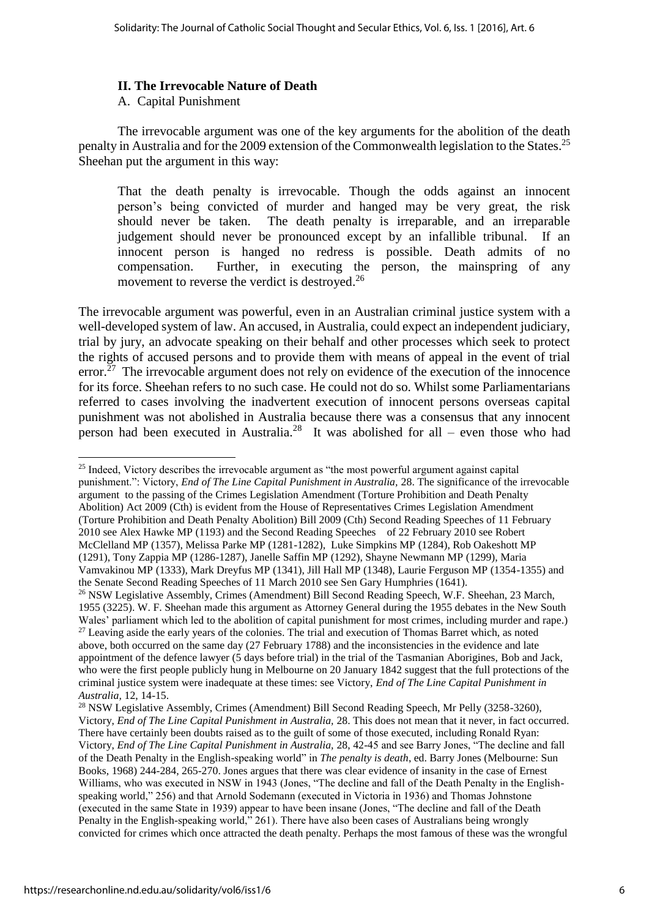#### **II. The Irrevocable Nature of Death**

A. Capital Punishment

 The irrevocable argument was one of the key arguments for the abolition of the death penalty in Australia and for the 2009 extension of the Commonwealth legislation to the States.<sup>25</sup> Sheehan put the argument in this way:

That the death penalty is irrevocable. Though the odds against an innocent person's being convicted of murder and hanged may be very great, the risk should never be taken. The death penalty is irreparable, and an irreparable judgement should never be pronounced except by an infallible tribunal. If an innocent person is hanged no redress is possible. Death admits of no compensation. Further, in executing the person, the mainspring of any movement to reverse the verdict is destroyed.<sup>26</sup>

The irrevocable argument was powerful, even in an Australian criminal justice system with a well-developed system of law. An accused, in Australia, could expect an independent judiciary, trial by jury, an advocate speaking on their behalf and other processes which seek to protect the rights of accused persons and to provide them with means of appeal in the event of trial  $error<sup>27</sup>$  The irrevocable argument does not rely on evidence of the execution of the innocence for its force. Sheehan refers to no such case. He could not do so. Whilst some Parliamentarians referred to cases involving the inadvertent execution of innocent persons overseas capital punishment was not abolished in Australia because there was a consensus that any innocent person had been executed in Australia.<sup>28</sup> It was abolished for all – even those who had

<sup>25</sup> Indeed, Victory describes the irrevocable argument as "the most powerful argument against capital punishment.": Victory, *End of The Line Capital Punishment in Australia,* 28. The significance of the irrevocable argument to the passing of the Crimes Legislation Amendment (Torture Prohibition and Death Penalty Abolition) Act 2009 (Cth) is evident from the House of Representatives Crimes Legislation Amendment (Torture Prohibition and Death Penalty Abolition) Bill 2009 (Cth) Second Reading Speeches of 11 February 2010 see Alex Hawke MP (1193) and the Second Reading Speeches of 22 February 2010 see Robert McClelland MP (1357), Melissa Parke MP (1281-1282), Luke Simpkins MP (1284), Rob Oakeshott MP (1291), Tony Zappia MP (1286-1287), Janelle Saffin MP (1292), Shayne Newmann MP (1299), Maria Vamvakinou MP (1333), Mark Dreyfus MP (1341), Jill Hall MP (1348), Laurie Ferguson MP (1354-1355) and the Senate Second Reading Speeches of 11 March 2010 see Sen Gary Humphries (1641). <sup>26</sup> NSW Legislative Assembly, Crimes (Amendment) Bill Second Reading Speech, W.F. Sheehan, 23 March, 1955 (3225). W. F. Sheehan made this argument as Attorney General during the 1955 debates in the New South Wales' parliament which led to the abolition of capital punishment for most crimes, including murder and rape.)

 $27$  Leaving aside the early years of the colonies. The trial and execution of Thomas Barret which, as noted above, both occurred on the same day (27 February 1788) and the inconsistencies in the evidence and late appointment of the defence lawyer (5 days before trial) in the trial of the Tasmanian Aborigines, Bob and Jack, who were the first people publicly hung in Melbourne on 20 January 1842 suggest that the full protections of the criminal justice system were inadequate at these times: see Victory, *End of The Line Capital Punishment in Australia,* 12, 14-15.

<sup>28</sup> NSW Legislative Assembly, Crimes (Amendment) Bill Second Reading Speech, Mr Pelly (3258-3260), Victory, *End of The Line Capital Punishment in Australia,* 28. This does not mean that it never, in fact occurred. There have certainly been doubts raised as to the guilt of some of those executed, including Ronald Ryan: Victory, *End of The Line Capital Punishment in Australia,* 28, 42-45 and see Barry Jones, "The decline and fall of the Death Penalty in the English-speaking world" in *The penalty is death*, ed. Barry Jones (Melbourne: Sun Books, 1968) 244-284, 265-270. Jones argues that there was clear evidence of insanity in the case of Ernest Williams, who was executed in NSW in 1943 (Jones, "The decline and fall of the Death Penalty in the Englishspeaking world," 256) and that Arnold Sodemann (executed in Victoria in 1936) and Thomas Johnstone (executed in the same State in 1939) appear to have been insane (Jones, "The decline and fall of the Death Penalty in the English-speaking world," 261). There have also been cases of Australians being wrongly convicted for crimes which once attracted the death penalty. Perhaps the most famous of these was the wrongful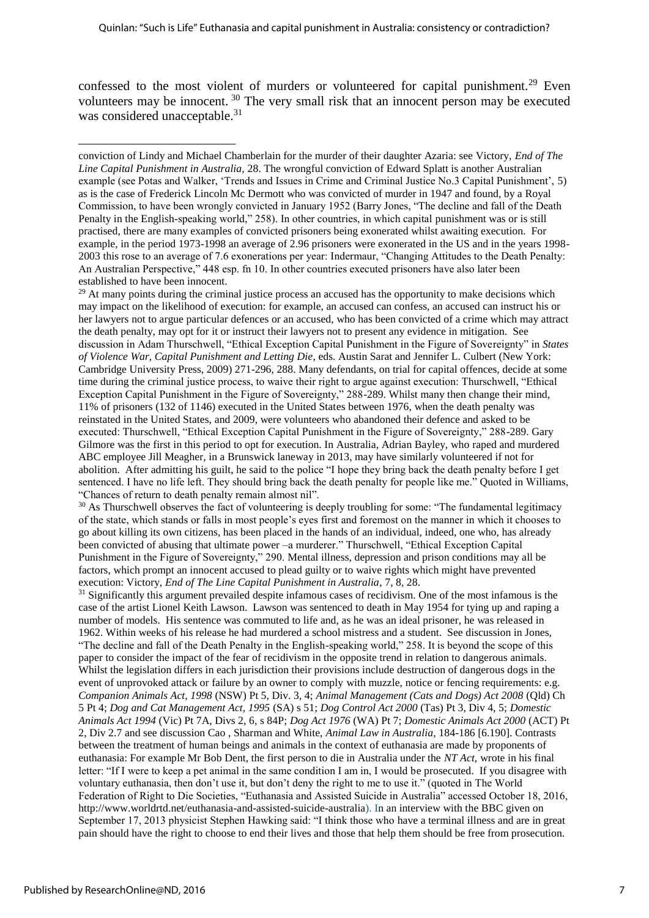confessed to the most violent of murders or volunteered for capital punishment.<sup>29</sup> Even volunteers may be innocent. <sup>30</sup> The very small risk that an innocent person may be executed was considered unacceptable.<sup>31</sup>

 $^{29}$  At many points during the criminal justice process an accused has the opportunity to make decisions which may impact on the likelihood of execution: for example, an accused can confess, an accused can instruct his or her lawyers not to argue particular defences or an accused, who has been convicted of a crime which may attract the death penalty, may opt for it or instruct their lawyers not to present any evidence in mitigation. See discussion in Adam Thurschwell, "Ethical Exception Capital Punishment in the Figure of Sovereignty" in *States of Violence War, Capital Punishment and Letting Die*, eds. Austin Sarat and Jennifer L. Culbert (New York: Cambridge University Press, 2009) 271-296, 288. Many defendants, on trial for capital offences, decide at some time during the criminal justice process, to waive their right to argue against execution: Thurschwell, "Ethical Exception Capital Punishment in the Figure of Sovereignty," 288-289. Whilst many then change their mind, 11% of prisoners (132 of 1146) executed in the United States between 1976, when the death penalty was reinstated in the United States, and 2009, were volunteers who abandoned their defence and asked to be executed: Thurschwell, "Ethical Exception Capital Punishment in the Figure of Sovereignty," 288-289. Gary Gilmore was the first in this period to opt for execution. In Australia, Adrian Bayley, who raped and murdered ABC employee Jill Meagher, in a Brunswick laneway in 2013, may have similarly volunteered if not for abolition. After admitting his guilt, he said to the police "I hope they bring back the death penalty before I get sentenced. I have no life left. They should bring back the death penalty for people like me." Quoted in Williams, "Chances of return to death penalty remain almost nil".

<sup>30</sup> As Thurschwell observes the fact of volunteering is deeply troubling for some: "The fundamental legitimacy of the state, which stands or falls in most people's eyes first and foremost on the manner in which it chooses to go about killing its own citizens, has been placed in the hands of an individual, indeed, one who, has already been convicted of abusing that ultimate power –a murderer." Thurschwell, "Ethical Exception Capital Punishment in the Figure of Sovereignty," 290. Mental illness, depression and prison conditions may all be factors, which prompt an innocent accused to plead guilty or to waive rights which might have prevented execution: Victory, *End of The Line Capital Punishment in Australia*, 7, 8, 28.

<sup>31</sup> Significantly this argument prevailed despite infamous cases of recidivism. One of the most infamous is the case of the artist Lionel Keith Lawson. Lawson was sentenced to death in May 1954 for tying up and raping a number of models. His sentence was commuted to life and, as he was an ideal prisoner, he was released in 1962. Within weeks of his release he had murdered a school mistress and a student. See discussion in Jones, "The decline and fall of the Death Penalty in the English-speaking world," 258. It is beyond the scope of this paper to consider the impact of the fear of recidivism in the opposite trend in relation to dangerous animals. Whilst the legislation differs in each jurisdiction their provisions include destruction of dangerous dogs in the event of unprovoked attack or failure by an owner to comply with muzzle, notice or fencing requirements: e.g. *Companion Animals Act, 1998* (NSW) Pt 5, Div. 3, 4; *Animal Management (Cats and Dogs) Act 2008* (Qld) Ch 5 Pt 4; *Dog and Cat Management Act, 1995* (SA) s 51; *Dog Control Act 2000* (Tas) Pt 3, Div 4, 5; *Domestic Animals Act 1994* (Vic) Pt 7A, Divs 2, 6, s 84P; *Dog Act 1976* (WA) Pt 7; *Domestic Animals Act 2000* (ACT) Pt 2, Div 2.7 and see discussion Cao , Sharman and White, *Animal Law in Australia*, 184-186 [6.190]. Contrasts between the treatment of human beings and animals in the context of euthanasia are made by proponents of euthanasia: For example Mr Bob Dent, the first person to die in Australia under the *NT Act,* wrote in his final letter: "If I were to keep a pet animal in the same condition I am in, I would be prosecuted. If you disagree with voluntary euthanasia, then don't use it, but don't deny the right to me to use it." (quoted in The World Federation of Right to Die Societies, "Euthanasia and Assisted Suicide in Australia" accessed October 18, 2016, [http://www.worldrtd.net/euthanasia-and-assisted-suicide-australia\)](http://www.worldrtd.net/euthanasia-and-assisted-suicide-australia). In an interview with the BBC given on September 17, 2013 physicist Stephen Hawking said: "I think those who have a terminal illness and are in great pain should have the right to choose to end their lives and those that help them should be free from prosecution.

<sup>1</sup> conviction of Lindy and Michael Chamberlain for the murder of their daughter Azaria: see Victory, *End of The Line Capital Punishment in Australia,* 28. The wrongful conviction of Edward Splatt is another Australian example (see Potas and Walker, 'Trends and Issues in Crime and Criminal Justice No.3 Capital Punishment', 5) as is the case of Frederick Lincoln Mc Dermott who was convicted of murder in 1947 and found, by a Royal Commission, to have been wrongly convicted in January 1952 (Barry Jones, "The decline and fall of the Death Penalty in the English-speaking world," 258). In other countries, in which capital punishment was or is still practised, there are many examples of convicted prisoners being exonerated whilst awaiting execution. For example, in the period 1973-1998 an average of 2.96 prisoners were exonerated in the US and in the years 1998- 2003 this rose to an average of 7.6 exonerations per year: Indermaur, "Changing Attitudes to the Death Penalty: An Australian Perspective," 448 esp. fn 10. In other countries executed prisoners have also later been established to have been innocent.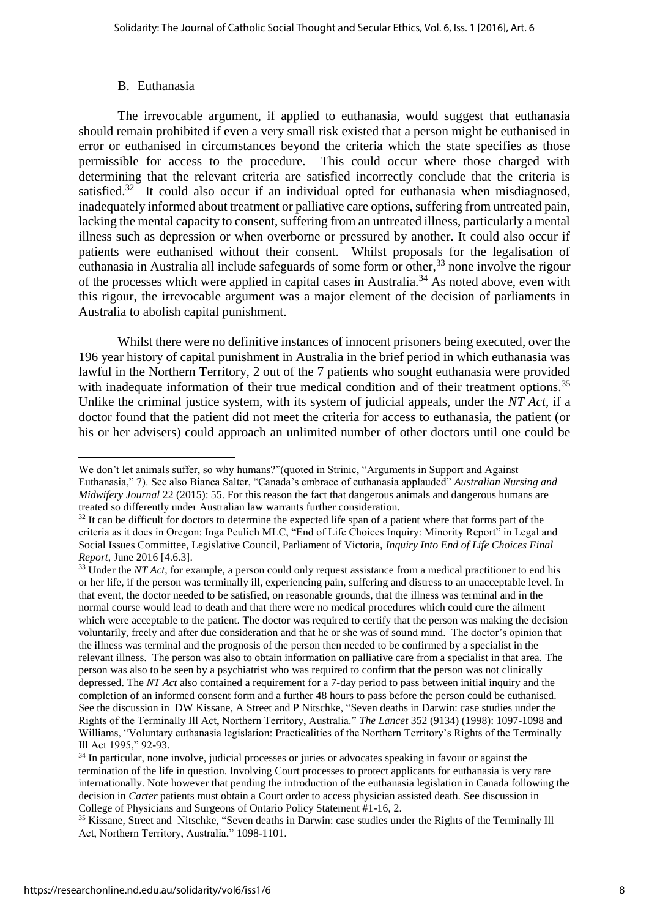#### B. Euthanasia

The irrevocable argument, if applied to euthanasia, would suggest that euthanasia should remain prohibited if even a very small risk existed that a person might be euthanised in error or euthanised in circumstances beyond the criteria which the state specifies as those permissible for access to the procedure. This could occur where those charged with determining that the relevant criteria are satisfied incorrectly conclude that the criteria is satisfied.<sup>32</sup> It could also occur if an individual opted for euthanasia when misdiagnosed, inadequately informed about treatment or palliative care options, suffering from untreated pain, lacking the mental capacity to consent, suffering from an untreated illness, particularly a mental illness such as depression or when overborne or pressured by another. It could also occur if patients were euthanised without their consent. Whilst proposals for the legalisation of euthanasia in Australia all include safeguards of some form or other.<sup>33</sup> none involve the rigour of the processes which were applied in capital cases in Australia.<sup>34</sup> As noted above, even with this rigour, the irrevocable argument was a major element of the decision of parliaments in Australia to abolish capital punishment.

Whilst there were no definitive instances of innocent prisoners being executed, over the 196 year history of capital punishment in Australia in the brief period in which euthanasia was lawful in the Northern Territory, 2 out of the 7 patients who sought euthanasia were provided with inadequate information of their true medical condition and of their treatment options.<sup>35</sup> Unlike the criminal justice system, with its system of judicial appeals, under the *NT Act,* if a doctor found that the patient did not meet the criteria for access to euthanasia, the patient (or his or her advisers) could approach an unlimited number of other doctors until one could be

**<sup>.</sup>** We don't let animals suffer, so why humans?"(quoted in Strinic, "Arguments in Support and Against Euthanasia," 7). See also Bianca Salter, "Canada's embrace of euthanasia applauded" *Australian Nursing and Midwifery Journal* 22 (2015): 55. For this reason the fact that dangerous animals and dangerous humans are treated so differently under Australian law warrants further consideration.

 $32$  It can be difficult for doctors to determine the expected life span of a patient where that forms part of the criteria as it does in Oregon: Inga Peulich MLC, "End of Life Choices Inquiry: Minority Report" in Legal and Social Issues Committee, Legislative Council, Parliament of Victoria, *Inquiry Into End of Life Choices Final Report*, June 2016 [4.6.3].

<sup>&</sup>lt;sup>33</sup> Under the *NT Act*, for example, a person could only request assistance from a medical practitioner to end his or her life, if the person was terminally ill, experiencing pain, suffering and distress to an unacceptable level. In that event, the doctor needed to be satisfied, on reasonable grounds, that the illness was terminal and in the normal course would lead to death and that there were no medical procedures which could cure the ailment which were acceptable to the patient. The doctor was required to certify that the person was making the decision voluntarily, freely and after due consideration and that he or she was of sound mind. The doctor's opinion that the illness was terminal and the prognosis of the person then needed to be confirmed by a specialist in the relevant illness. The person was also to obtain information on palliative care from a specialist in that area. The person was also to be seen by a psychiatrist who was required to confirm that the person was not clinically depressed. The *NT Act* also contained a requirement for a 7-day period to pass between initial inquiry and the completion of an informed consent form and a further 48 hours to pass before the person could be euthanised. See the discussion in DW [Kissane, A](http://www.ncbi.nlm.nih.gov/pubmed/?term=Kissane%20DW%5BAuthor%5D&cauthor=true&cauthor_uid=9798585) [Street and P](http://www.ncbi.nlm.nih.gov/pubmed/?term=Street%20A%5BAuthor%5D&cauthor=true&cauthor_uid=9798585) [Nitschke, "](http://www.ncbi.nlm.nih.gov/pubmed/?term=Nitschke%20P%5BAuthor%5D&cauthor=true&cauthor_uid=9798585)Seven deaths in Darwin: case studies under the Rights of the Terminally Ill Act, Northern Territory, Australia." *The Lancet* 352 (9134) (1998): 1097-1098 and Williams, "Voluntary euthanasia legislation: Practicalities of the Northern Territory's Rights of the Terminally Ill Act 1995," 92-93.

<sup>&</sup>lt;sup>34</sup> In particular, none involve, judicial processes or juries or advocates speaking in favour or against the termination of the life in question. Involving Court processes to protect applicants for euthanasia is very rare internationally. Note however that pending the introduction of the euthanasia legislation in Canada following the decision in *Carter* patients must obtain a Court order to access physician assisted death. See discussion in College of Physicians and Surgeons of Ontario Policy Statement #1-16, 2.

<sup>&</sup>lt;sup>35</sup> [Kissane, Street and](http://www.ncbi.nlm.nih.gov/pubmed/?term=Kissane%20DW%5BAuthor%5D&cauthor=true&cauthor_uid=9798585) [Nitschke, "](http://www.ncbi.nlm.nih.gov/pubmed/?term=Nitschke%20P%5BAuthor%5D&cauthor=true&cauthor_uid=9798585)Seven deaths in Darwin: case studies under the Rights of the Terminally Ill Act, Northern Territory, Australia," 1098-1101.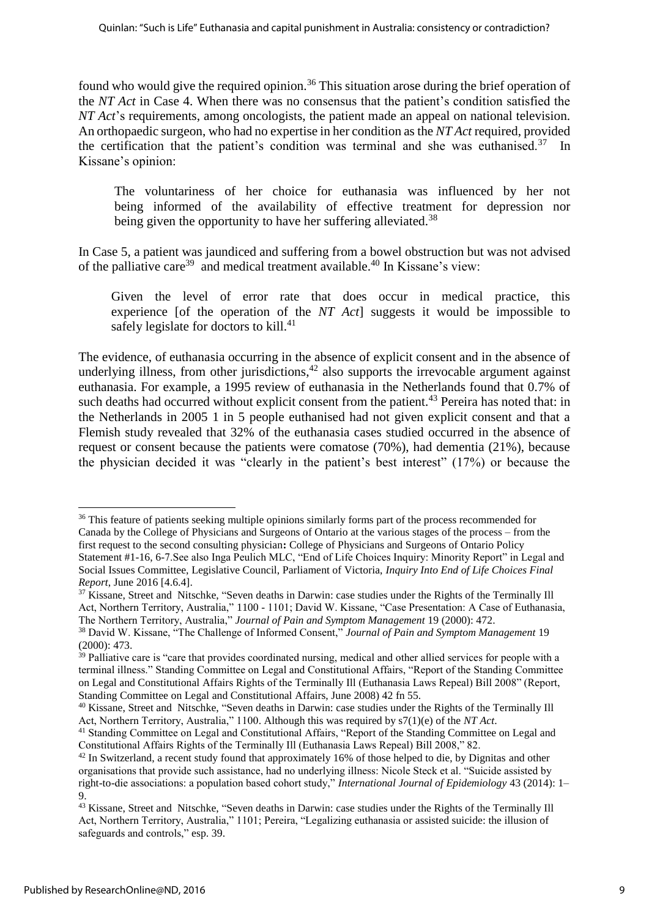found who would give the required opinion.<sup>36</sup> This situation arose during the brief operation of the *NT Act* in Case 4. When there was no consensus that the patient's condition satisfied the *NT Act*'s requirements, among oncologists, the patient made an appeal on national television. An orthopaedic surgeon, who had no expertise in her condition as the *NT Act* required, provided the certification that the patient's condition was terminal and she was euthanised.<sup>37</sup> In Kissane's opinion:

 The voluntariness of her choice for euthanasia was influenced by her not being informed of the availability of effective treatment for depression nor being given the opportunity to have her suffering alleviated.<sup>38</sup>

In Case 5, a patient was jaundiced and suffering from a bowel obstruction but was not advised of the palliative care<sup>39</sup> and medical treatment available.<sup>40</sup> In Kissane's view:

 Given the level of error rate that does occur in medical practice, this experience [of the operation of the *NT Act*] suggests it would be impossible to safely legislate for doctors to kill. $41$ 

The evidence, of euthanasia occurring in the absence of explicit consent and in the absence of underlying illness, from other jurisdictions, $42$  also supports the irrevocable argument against euthanasia. For example, a 1995 review of euthanasia in the Netherlands found that 0.7% of such deaths had occurred without explicit consent from the patient.<sup>43</sup> Pereira has noted that: in the Netherlands in 2005 1 in 5 people euthanised had not given explicit consent and that a Flemish study revealed that 32% of the euthanasia cases studied occurred in the absence of request or consent because the patients were comatose (70%), had dementia (21%), because the physician decided it was "clearly in the patient's best interest" (17%) or because the

**<sup>.</sup>** <sup>36</sup> This feature of patients seeking multiple opinions similarly forms part of the process recommended for Canada by the College of Physicians and Surgeons of Ontario at the various stages of the process – from the first request to the second consulting physician**:** College of Physicians and Surgeons of Ontario Policy Statement #1-16, 6-7.See also Inga Peulich MLC, "End of Life Choices Inquiry: Minority Report" in Legal and Social Issues Committee, Legislative Council, Parliament of Victoria, *Inquiry Into End of Life Choices Final Report*, June 2016 [4.6.4].

<sup>&</sup>lt;sup>37</sup> [Kissane, Street and](http://www.ncbi.nlm.nih.gov/pubmed/?term=Kissane%20DW%5BAuthor%5D&cauthor=true&cauthor_uid=9798585) [Nitschke, "](http://www.ncbi.nlm.nih.gov/pubmed/?term=Nitschke%20P%5BAuthor%5D&cauthor=true&cauthor_uid=9798585)Seven deaths in Darwin: case studies under the Rights of the Terminally Ill Act, Northern Territory, Australia," 1100 - 1101; David W. Kissane, "Case Presentation: A Case of Euthanasia, The Northern Territory, Australia," *Journal of Pain and Symptom Management* 19 (2000): 472.

<sup>38</sup> David W. Kissane, "The Challenge of Informed Consent," *Journal of Pain and Symptom Management* 19 (2000): 473.

 $39$  Palliative care is "care that provides coordinated nursing, medical and other allied services for people with a terminal illness." Standing Committee on Legal and Constitutional Affairs, "Report of the Standing Committee on Legal and Constitutional Affairs Rights of the Terminally Ill (Euthanasia Laws Repeal) Bill 2008" (Report, Standing Committee on Legal and Constitutional Affairs, June 2008) 42 fn 55.

<sup>40</sup> [Kissane, Street and](http://www.ncbi.nlm.nih.gov/pubmed/?term=Kissane%20DW%5BAuthor%5D&cauthor=true&cauthor_uid=9798585) [Nitschke, "](http://www.ncbi.nlm.nih.gov/pubmed/?term=Nitschke%20P%5BAuthor%5D&cauthor=true&cauthor_uid=9798585)Seven deaths in Darwin: case studies under the Rights of the Terminally Ill Act, Northern Territory, Australia," 1100. Although this was required by s7(1)(e) of the *NT Act*.

<sup>&</sup>lt;sup>41</sup> Standing Committee on Legal and Constitutional Affairs, "Report of the Standing Committee on Legal and Constitutional Affairs Rights of the Terminally Ill (Euthanasia Laws Repeal) Bill 2008," 82.

<sup>42</sup> In Switzerland, a recent study found that approximately 16% of those helped to die, by Dignitas and other organisations that provide such assistance, had no underlying illness: Nicole Steck et al. "Suicide assisted by right-to-die associations: a population based cohort study," *International Journal of Epidemiology* 43 (2014): 1– 9.

<sup>&</sup>lt;sup>43</sup> [Kissane, Street and](http://www.ncbi.nlm.nih.gov/pubmed/?term=Kissane%20DW%5BAuthor%5D&cauthor=true&cauthor_uid=9798585) [Nitschke, "](http://www.ncbi.nlm.nih.gov/pubmed/?term=Nitschke%20P%5BAuthor%5D&cauthor=true&cauthor_uid=9798585)Seven deaths in Darwin: case studies under the Rights of the Terminally Ill Act, Northern Territory, Australia," 1101; Pereira, "Legalizing euthanasia or assisted suicide: the illusion of safeguards and controls," esp. 39.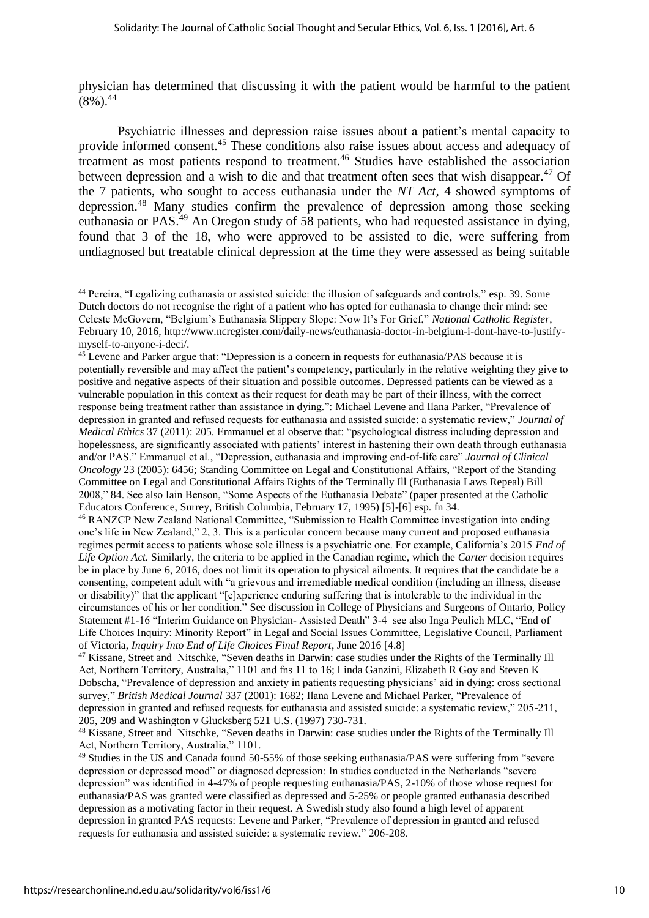physician has determined that discussing it with the patient would be harmful to the patient  $(8\%)^{44}$ 

Psychiatric illnesses and depression raise issues about a patient's mental capacity to provide informed consent.<sup>45</sup> These conditions also raise issues about access and adequacy of treatment as most patients respond to treatment.<sup>46</sup> Studies have established the association between depression and a wish to die and that treatment often sees that wish disappear.<sup>47</sup> Of the 7 patients, who sought to access euthanasia under the *NT Act,* 4 showed symptoms of depression.<sup>48</sup> Many studies confirm the prevalence of depression among those seeking euthanasia or PAS.<sup>49</sup> An Oregon study of 58 patients, who had requested assistance in dying, found that 3 of the 18, who were approved to be assisted to die, were suffering from undiagnosed but treatable clinical depression at the time they were assessed as being suitable

<sup>44</sup> Pereira, "Legalizing euthanasia or assisted suicide: the illusion of safeguards and controls," esp. 39. Some Dutch doctors do not recognise the right of a patient who has opted for euthanasia to change their mind: see Celeste McGovern, "Belgium's Euthanasia Slippery Slope: Now It's For Grief," *National Catholic Register*, February 10, 2016, [http://www.ncregister.com/daily-news/euthanasia-doctor-in-belgium-i-dont-have-to-justify](http://www.ncregister.com/daily-news/euthanasia-doctor-in-belgium-i-dont-have-to-justify-myself-to-anyone-i-deci/)[myself-to-anyone-i-deci/.](http://www.ncregister.com/daily-news/euthanasia-doctor-in-belgium-i-dont-have-to-justify-myself-to-anyone-i-deci/)

<sup>&</sup>lt;sup>45</sup> Levene and Parker argue that: "Depression is a concern in requests for euthanasia/PAS because it is potentially reversible and may affect the patient's competency, particularly in the relative weighting they give to positive and negative aspects of their situation and possible outcomes. Depressed patients can be viewed as a vulnerable population in this context as their request for death may be part of their illness, with the correct response being treatment rather than assistance in dying.": Michael Levene and Ilana Parker, "Prevalence of depression in granted and refused requests for euthanasia and assisted suicide: a systematic review," *Journal of Medical Ethics* 37 (2011): 205. Emmanuel et al observe that: "psychological distress including depression and hopelessness, are significantly associated with patients' interest in hastening their own death through euthanasia and/or PAS." Emmanuel et al., "Depression, euthanasia and improving end-of-life care" *Journal of Clinical Oncology* 23 (2005): 6456; Standing Committee on Legal and Constitutional Affairs, "Report of the Standing Committee on Legal and Constitutional Affairs Rights of the Terminally Ill (Euthanasia Laws Repeal) Bill 2008," 84. See also Iain Benson, "Some Aspects of the Euthanasia Debate" (paper presented at the Catholic Educators Conference, Surrey, British Columbia, February 17, 1995) [5]-[6] esp. fn 34.

<sup>46</sup> RANZCP New Zealand National Committee, "Submission to Health Committee investigation into ending one's life in New Zealand," 2, 3. This is a particular concern because many current and proposed euthanasia regimes permit access to patients whose sole illness is a psychiatric one. For example, California's 2015 *End of Life Option Act.* Similarly, the criteria to be applied in the Canadian regime, which the *Carter* decision requires be in place by June 6, 2016, does not limit its operation to physical ailments. It requires that the candidate be a consenting, competent adult with "a grievous and irremediable medical condition (including an illness, disease or disability)" that the applicant "[e]xperience enduring suffering that is intolerable to the individual in the circumstances of his or her condition." See discussion in College of Physicians and Surgeons of Ontario, Policy Statement #1-16 "Interim Guidance on Physician- Assisted Death" 3-4 see also Inga Peulich MLC, "End of Life Choices Inquiry: Minority Report" in Legal and Social Issues Committee, Legislative Council, Parliament of Victoria, *Inquiry Into End of Life Choices Final Report*, June 2016 [4.8]

<sup>47</sup> [Kissane, Street and](http://www.ncbi.nlm.nih.gov/pubmed/?term=Kissane%20DW%5BAuthor%5D&cauthor=true&cauthor_uid=9798585) [Nitschke, "](http://www.ncbi.nlm.nih.gov/pubmed/?term=Nitschke%20P%5BAuthor%5D&cauthor=true&cauthor_uid=9798585)Seven deaths in Darwin: case studies under the Rights of the Terminally Ill Act, Northern Territory, Australia," 1101 and fns 11 to 16; Linda Ganzini, Elizabeth R Goy and Steven K Dobscha, "Prevalence of depression and anxiety in patients requesting physicians' aid in dying: cross sectional survey," *British Medical Journal* 337 (2001): 1682; Ilana Levene and Michael Parker, "Prevalence of depression in granted and refused requests for euthanasia and assisted suicide: a systematic review," 205-211, 205, 209 and Washington v Glucksberg 521 U.S. (1997) 730-731.

<sup>48</sup> [Kissane, Street and](http://www.ncbi.nlm.nih.gov/pubmed/?term=Kissane%20DW%5BAuthor%5D&cauthor=true&cauthor_uid=9798585) [Nitschke, "](http://www.ncbi.nlm.nih.gov/pubmed/?term=Nitschke%20P%5BAuthor%5D&cauthor=true&cauthor_uid=9798585)Seven deaths in Darwin: case studies under the Rights of the Terminally Ill Act, Northern Territory, Australia," 1101.

<sup>49</sup> Studies in the US and Canada found 50-55% of those seeking euthanasia/PAS were suffering from "severe depression or depressed mood" or diagnosed depression: In studies conducted in the Netherlands "severe depression" was identified in 4-47% of people requesting euthanasia/PAS, 2-10% of those whose request for euthanasia/PAS was granted were classified as depressed and 5-25% or people granted euthanasia described depression as a motivating factor in their request. A Swedish study also found a high level of apparent depression in granted PAS requests: Levene and Parker, "Prevalence of depression in granted and refused requests for euthanasia and assisted suicide: a systematic review," 206-208.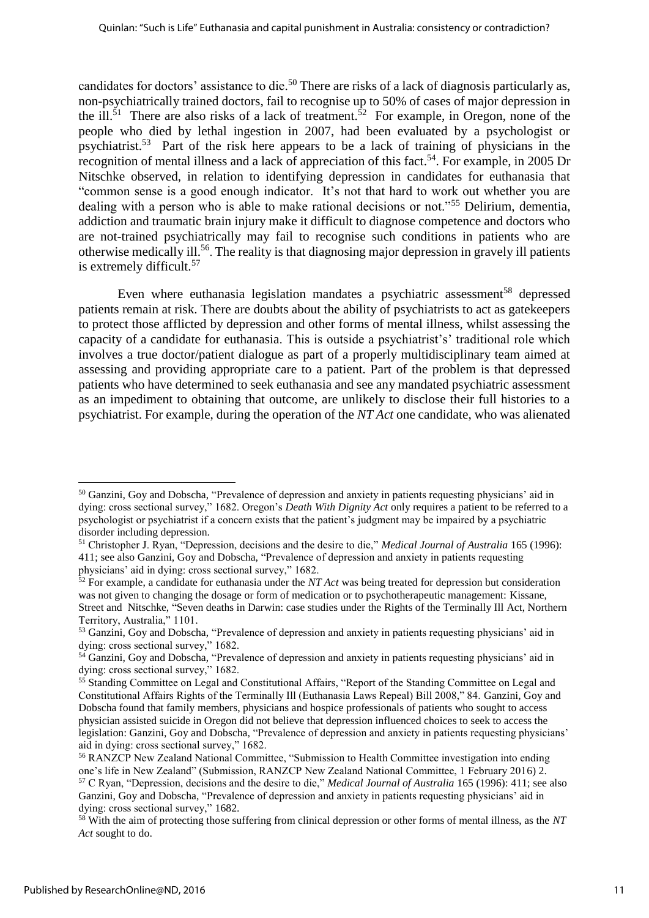candidates for doctors' assistance to die.<sup>50</sup> There are risks of a lack of diagnosis particularly as, non-psychiatrically trained doctors, fail to recognise up to 50% of cases of major depression in the ill.<sup>51</sup> There are also risks of a lack of treatment.<sup>52</sup> For example, in Oregon, none of the people who died by lethal ingestion in 2007, had been evaluated by a psychologist or psychiatrist.<sup>53</sup> Part of the risk here appears to be a lack of training of physicians in the recognition of mental illness and a lack of appreciation of this fact.<sup>54</sup>. For example, in 2005 Dr Nitschke observed, in relation to identifying depression in candidates for euthanasia that "common sense is a good enough indicator. It's not that hard to work out whether you are dealing with a person who is able to make rational decisions or not."<sup>55</sup> Delirium, dementia, addiction and traumatic brain injury make it difficult to diagnose competence and doctors who are not-trained psychiatrically may fail to recognise such conditions in patients who are otherwise medically ill. 56 . The reality is that diagnosing major depression in gravely ill patients is extremely difficult. 57

Even where euthanasia legislation mandates a psychiatric assessment<sup>58</sup> depressed patients remain at risk. There are doubts about the ability of psychiatrists to act as gatekeepers to protect those afflicted by depression and other forms of mental illness, whilst assessing the capacity of a candidate for euthanasia. This is outside a psychiatrist's' traditional role which involves a true doctor/patient dialogue as part of a properly multidisciplinary team aimed at assessing and providing appropriate care to a patient. Part of the problem is that depressed patients who have determined to seek euthanasia and see any mandated psychiatric assessment as an impediment to obtaining that outcome, are unlikely to disclose their full histories to a psychiatrist. For example, during the operation of the *NT Act* one candidate, who was alienated

<sup>50</sup> Ganzini, Goy and Dobscha, "Prevalence of depression and anxiety in patients requesting physicians' aid in dying: cross sectional survey," 1682. Oregon's *Death With Dignity Act* only requires a patient to be referred to a psychologist or psychiatrist if a concern exists that the patient's judgment may be impaired by a psychiatric disorder including depression.

<sup>51</sup> Christopher J. Ryan, "Depression, decisions and the desire to die," *Medical Journal of Australia* 165 (1996): 411; see also Ganzini, Goy and Dobscha, "Prevalence of depression and anxiety in patients requesting physicians' aid in dying: cross sectional survey," 1682.

<sup>52</sup> For example, a candidate for euthanasia under the *NT Act* was being treated for depression but consideration was not given to changing the dosage or form of medication or to psychotherapeutic management: [Kissane,](http://www.ncbi.nlm.nih.gov/pubmed/?term=Kissane%20DW%5BAuthor%5D&cauthor=true&cauthor_uid=9798585)  [Street and](http://www.ncbi.nlm.nih.gov/pubmed/?term=Street%20A%5BAuthor%5D&cauthor=true&cauthor_uid=9798585) [Nitschke, "](http://www.ncbi.nlm.nih.gov/pubmed/?term=Nitschke%20P%5BAuthor%5D&cauthor=true&cauthor_uid=9798585)Seven deaths in Darwin: case studies under the Rights of the Terminally Ill Act, Northern Territory, Australia," 1101.

<sup>&</sup>lt;sup>53</sup> Ganzini, Goy and Dobscha, "Prevalence of depression and anxiety in patients requesting physicians' aid in dying: cross sectional survey," 1682.

<sup>&</sup>lt;sup>54</sup> Ganzini, Goy and Dobscha, "Prevalence of depression and anxiety in patients requesting physicians' aid in dying: cross sectional survey," 1682.

<sup>55</sup> Standing Committee on Legal and Constitutional Affairs, "Report of the Standing Committee on Legal and Constitutional Affairs Rights of the Terminally Ill (Euthanasia Laws Repeal) Bill 2008," 84. Ganzini, Goy and Dobscha found that family members, physicians and hospice professionals of patients who sought to access physician assisted suicide in Oregon did not believe that depression influenced choices to seek to access the legislation: Ganzini, Goy and Dobscha, "Prevalence of depression and anxiety in patients requesting physicians' aid in dying: cross sectional survey," 1682.

<sup>&</sup>lt;sup>56</sup> RANZCP New Zealand National Committee, "Submission to Health Committee investigation into ending one's life in New Zealand" (Submission, RANZCP New Zealand National Committee, 1 February 2016) 2. <sup>57</sup> C Ryan, "Depression, decisions and the desire to die," *Medical Journal of Australia* 165 (1996): 411; see also Ganzini, Goy and Dobscha, "Prevalence of depression and anxiety in patients requesting physicians' aid in dying: cross sectional survey," 1682.

<sup>58</sup> With the aim of protecting those suffering from clinical depression or other forms of mental illness, as the *NT Act* sought to do.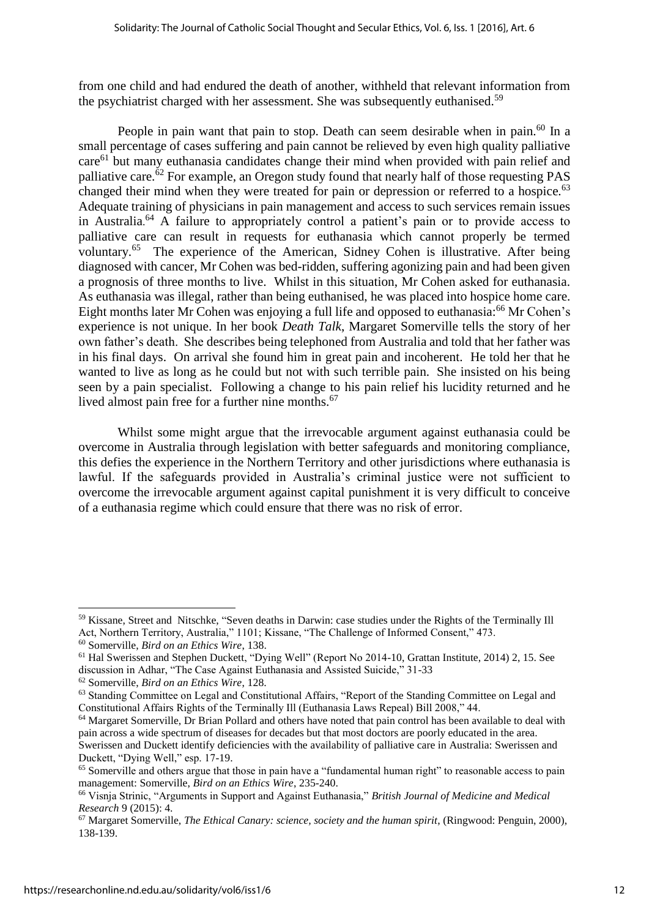from one child and had endured the death of another, withheld that relevant information from the psychiatrist charged with her assessment. She was subsequently euthanised.<sup>59</sup>

People in pain want that pain to stop. Death can seem desirable when in pain.<sup>60</sup> In a small percentage of cases suffering and pain cannot be relieved by even high quality palliative care<sup>61</sup> but many euthanasia candidates change their mind when provided with pain relief and palliative care.<sup>62</sup> For example, an Oregon study found that nearly half of those requesting PAS changed their mind when they were treated for pain or depression or referred to a hospice.<sup>63</sup> Adequate training of physicians in pain management and access to such services remain issues in Australia. <sup>64</sup> A failure to appropriately control a patient's pain or to provide access to palliative care can result in requests for euthanasia which cannot properly be termed voluntary.<sup>65</sup> The experience of the American, Sidney Cohen is illustrative. After being diagnosed with cancer, Mr Cohen was bed-ridden, suffering agonizing pain and had been given a prognosis of three months to live. Whilst in this situation, Mr Cohen asked for euthanasia. As euthanasia was illegal, rather than being euthanised, he was placed into hospice home care. Eight months later Mr Cohen was enjoying a full life and opposed to euthanasia:<sup>66</sup> Mr Cohen's experience is not unique. In her book *Death Talk*, Margaret Somerville tells the story of her own father's death. She describes being telephoned from Australia and told that her father was in his final days. On arrival she found him in great pain and incoherent. He told her that he wanted to live as long as he could but not with such terrible pain. She insisted on his being seen by a pain specialist. Following a change to his pain relief his lucidity returned and he lived almost pain free for a further nine months.<sup>67</sup>

Whilst some might argue that the irrevocable argument against euthanasia could be overcome in Australia through legislation with better safeguards and monitoring compliance, this defies the experience in the Northern Territory and other jurisdictions where euthanasia is lawful. If the safeguards provided in Australia's criminal justice were not sufficient to overcome the irrevocable argument against capital punishment it is very difficult to conceive of a euthanasia regime which could ensure that there was no risk of error.

<sup>59</sup> [Kissane, Street and](http://www.ncbi.nlm.nih.gov/pubmed/?term=Kissane%20DW%5BAuthor%5D&cauthor=true&cauthor_uid=9798585) [Nitschke, "](http://www.ncbi.nlm.nih.gov/pubmed/?term=Nitschke%20P%5BAuthor%5D&cauthor=true&cauthor_uid=9798585)Seven deaths in Darwin: case studies under the Rights of the Terminally Ill Act, Northern Territory, Australia," 1101; Kissane, "The Challenge of Informed Consent," 473.

<sup>60</sup> Somerville, *Bird on an Ethics Wire*, 138.

<sup>61</sup> Hal Swerissen and Stephen Duckett, "Dying Well" (Report No 2014-10, Grattan Institute, 2014) 2, 15. See discussion in Adhar, "The Case Against Euthanasia and Assisted Suicide," 31-33

<sup>62</sup> Somerville, *Bird on an Ethics Wire*, 128.

<sup>63</sup> Standing Committee on Legal and Constitutional Affairs, "Report of the Standing Committee on Legal and Constitutional Affairs Rights of the Terminally Ill (Euthanasia Laws Repeal) Bill 2008," 44.

<sup>&</sup>lt;sup>64</sup> Margaret Somerville, Dr Brian Pollard and others have noted that pain control has been available to deal with pain across a wide spectrum of diseases for decades but that most doctors are poorly educated in the area. Swerissen and Duckett identify deficiencies with the availability of palliative care in Australia: Swerissen and

Duckett, "Dying Well," esp. 17-19.

<sup>65</sup> Somerville and others argue that those in pain have a "fundamental human right" to reasonable access to pain management: Somerville, *Bird on an Ethics Wire*, 235-240.

<sup>66</sup> Visnja Strinic, "Arguments in Support and Against Euthanasia," *British Journal of Medicine and Medical Research* 9 (2015): 4.

<sup>67</sup> Margaret Somerville, *The Ethical Canary: science, society and the human spirit*, (Ringwood: Penguin, 2000), 138-139.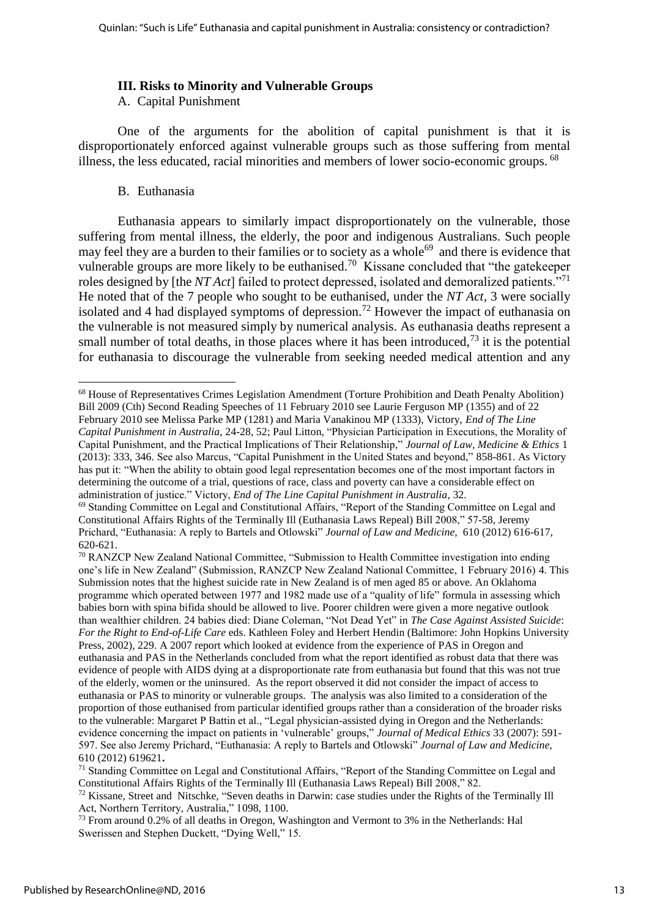#### **III. Risks to Minority and Vulnerable Groups**

A. Capital Punishment

One of the arguments for the abolition of capital punishment is that it is disproportionately enforced against vulnerable groups such as those suffering from mental illness, the less educated, racial minorities and members of lower socio-economic groups. <sup>68</sup>

#### B. Euthanasia

Euthanasia appears to similarly impact disproportionately on the vulnerable, those suffering from mental illness, the elderly, the poor and indigenous Australians. Such people may feel they are a burden to their families or to society as a whole<sup>69</sup> and there is evidence that vulnerable groups are more likely to be euthanised.<sup>70</sup> Kissane concluded that "the gatekeeper roles designed by [the *NT Act*] failed to protect depressed, isolated and demoralized patients."<sup>71</sup> He noted that of the 7 people who sought to be euthanised, under the *NT Act,* 3 were socially isolated and 4 had displayed symptoms of depression.<sup>72</sup> However the impact of euthanasia on the vulnerable is not measured simply by numerical analysis. As euthanasia deaths represent a small number of total deaths, in those places where it has been introduced,<sup> $73$ </sup> it is the potential for euthanasia to discourage the vulnerable from seeking needed medical attention and any

**<sup>.</sup>** <sup>68</sup> House of Representatives Crimes Legislation Amendment (Torture Prohibition and Death Penalty Abolition) Bill 2009 (Cth) Second Reading Speeches of 11 February 2010 see Laurie Ferguson MP (1355) and of 22 February 2010 see Melissa Parke MP (1281) and Maria Vanakinou MP (1333), Victory, *End of The Line Capital Punishment in Australia*, 24-28, 52; Paul Litton, "Physician Participation in Executions, the Morality of Capital Punishment, and the Practical Implications of Their Relationship," *Journal of Law, Medicine & Ethics* 1 (2013): 333, 346. See also Marcus, "Capital Punishment in the United States and beyond," 858-861. As Victory has put it: "When the ability to obtain good legal representation becomes one of the most important factors in determining the outcome of a trial, questions of race, class and poverty can have a considerable effect on administration of justice." Victory, *End of The Line Capital Punishment in Australia*, 32.

<sup>&</sup>lt;sup>69</sup> Standing Committee on Legal and Constitutional Affairs, "Report of the Standing Committee on Legal and Constitutional Affairs Rights of the Terminally Ill (Euthanasia Laws Repeal) Bill 2008," 57-58, Jeremy Prichard, "Euthanasia: A reply to Bartels and Otlowski" *Journal of Law and Medicine,* 610 (2012) 616-617, 620-621.

<sup>70</sup> RANZCP New Zealand National Committee, "Submission to Health Committee investigation into ending one's life in New Zealand" (Submission, RANZCP New Zealand National Committee, 1 February 2016) 4. This Submission notes that the highest suicide rate in New Zealand is of men aged 85 or above. An Oklahoma programme which operated between 1977 and 1982 made use of a "quality of life" formula in assessing which babies born with spina bifida should be allowed to live. Poorer children were given a more negative outlook than wealthier children. 24 babies died: Diane Coleman, "Not Dead Yet" in *The Case Against Assisted Suicide*: *For the Right to End-of-Life Care* eds. Kathleen Foley and Herbert Hendin (Baltimore: John Hopkins University Press, 2002), 229. A 2007 report which looked at evidence from the experience of PAS in Oregon and euthanasia and PAS in the Netherlands concluded from what the report identified as robust data that there was evidence of people with AIDS dying at a disproportionate rate from euthanasia but found that this was not true of the elderly, women or the uninsured. As the report observed it did not consider the impact of access to euthanasia or PAS to minority or vulnerable groups. The analysis was also limited to a consideration of the proportion of those euthanised from particular identified groups rather than a consideration of the broader risks to the vulnerable: Margaret P Battin et al., "Legal physician-assisted dying in Oregon and the Netherlands: evidence concerning the impact on patients in 'vulnerable' groups," *Journal of Medical Ethics* 33 (2007): 591- 597. See also Jeremy Prichard, "Euthanasia: A reply to Bartels and Otlowski" *Journal of Law and Medicine,*  610 (2012) 619621**.**

<sup>71</sup> Standing Committee on Legal and Constitutional Affairs, "Report of the Standing Committee on Legal and Constitutional Affairs Rights of the Terminally Ill (Euthanasia Laws Repeal) Bill 2008," 82.

 $72$  [Kissane, Street and](http://www.ncbi.nlm.nih.gov/pubmed/?term=Kissane%20DW%5BAuthor%5D&cauthor=true&cauthor_uid=9798585) [Nitschke, "](http://www.ncbi.nlm.nih.gov/pubmed/?term=Nitschke%20P%5BAuthor%5D&cauthor=true&cauthor_uid=9798585)Seven deaths in Darwin: case studies under the Rights of the Terminally Ill Act, Northern Territory, Australia," 1098, 1100.

<sup>&</sup>lt;sup>73</sup> From around 0.2% of all deaths in Oregon, Washington and Vermont to 3% in the Netherlands: Hal Swerissen and Stephen Duckett, "Dying Well," 15.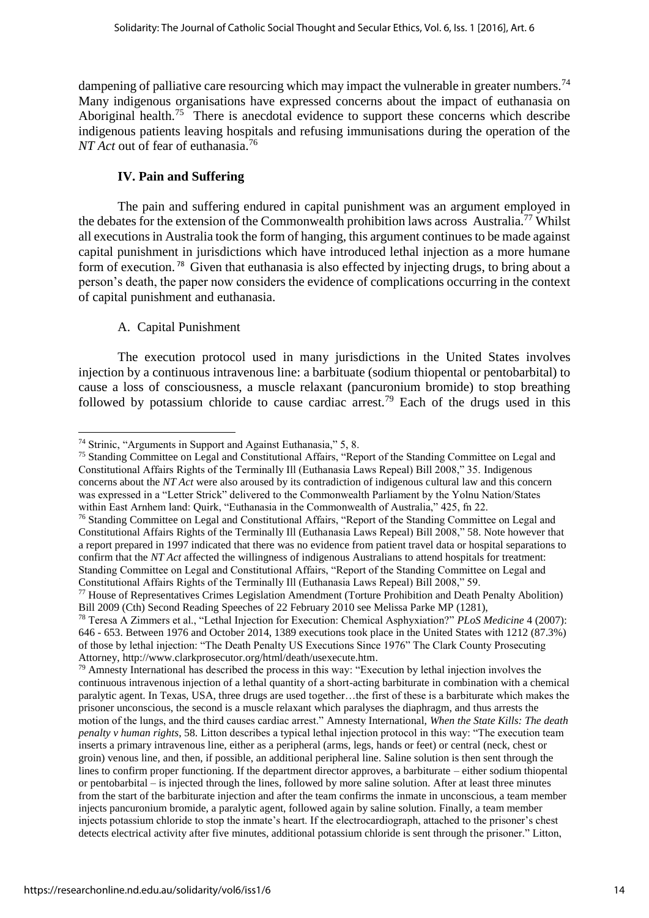dampening of palliative care resourcing which may impact the vulnerable in greater numbers.<sup>74</sup> Many indigenous organisations have expressed concerns about the impact of euthanasia on Aboriginal health.<sup>75</sup> There is anecdotal evidence to support these concerns which describe indigenous patients leaving hospitals and refusing immunisations during the operation of the *NT Act* out of fear of euthanasia.<sup>76</sup>

#### **IV. Pain and Suffering**

The pain and suffering endured in capital punishment was an argument employed in the debates for the extension of the Commonwealth prohibition laws across Australia.<sup>77</sup> Whilst all executions in Australia took the form of hanging, this argument continues to be made against capital punishment in jurisdictions which have introduced lethal injection as a more humane form of execution. <sup>78</sup> Given that euthanasia is also effected by injecting drugs, to bring about a person's death, the paper now considers the evidence of complications occurring in the context of capital punishment and euthanasia.

## A. Capital Punishment

The execution protocol used in many jurisdictions in the United States involves injection by a continuous intravenous line: a barbituate (sodium thiopental or pentobarbital) to cause a loss of consciousness, a muscle relaxant (pancuronium bromide) to stop breathing followed by potassium chloride to cause cardiac arrest.<sup>79</sup> Each of the drugs used in this

<sup>75</sup> Standing Committee on Legal and Constitutional Affairs, "Report of the Standing Committee on Legal and Constitutional Affairs Rights of the Terminally Ill (Euthanasia Laws Repeal) Bill 2008," 35. Indigenous concerns about the *NT Act* were also aroused by its contradiction of indigenous cultural law and this concern was expressed in a "Letter Strick" delivered to the Commonwealth Parliament by the Yolnu Nation/States within East Arnhem land: Quirk, "Euthanasia in the Commonwealth of Australia," 425, fn 22.

**<sup>.</sup>** <sup>74</sup> Strinic, "Arguments in Support and Against Euthanasia," 5, 8.

<sup>76</sup> Standing Committee on Legal and Constitutional Affairs, "Report of the Standing Committee on Legal and Constitutional Affairs Rights of the Terminally Ill (Euthanasia Laws Repeal) Bill 2008," 58. Note however that a report prepared in 1997 indicated that there was no evidence from patient travel data or hospital separations to confirm that the *NT Act* affected the willingness of indigenous Australians to attend hospitals for treatment: Standing Committee on Legal and Constitutional Affairs, "Report of the Standing Committee on Legal and Constitutional Affairs Rights of the Terminally Ill (Euthanasia Laws Repeal) Bill 2008," 59.

<sup>77</sup> House of Representatives Crimes Legislation Amendment (Torture Prohibition and Death Penalty Abolition) Bill 2009 (Cth) Second Reading Speeches of 22 February 2010 see Melissa Parke MP (1281),

<sup>78</sup> Teresa A Zimmers et al., "Lethal Injection for Execution: Chemical Asphyxiation?" *PLoS Medicine* 4 (2007): 646 - 653. Between 1976 and October 2014, 1389 executions took place in the United States with 1212 (87.3%) of those by lethal injection: "The Death Penalty US Executions Since 1976" The Clark County Prosecuting Attorney, [http://www.clarkprosecutor.org/html/death/usexecute.htm.](http://www.clarkprosecutor.org/html/death/usexecute.htm) 

 $79$  Amnesty International has described the process in this way: "Execution by lethal injection involves the continuous intravenous injection of a lethal quantity of a short-acting barbiturate in combination with a chemical paralytic agent. In Texas, USA, three drugs are used together…the first of these is a barbiturate which makes the prisoner unconscious, the second is a muscle relaxant which paralyses the diaphragm, and thus arrests the motion of the lungs, and the third causes cardiac arrest." Amnesty International, *When the State Kills: The death penalty v human rights*, 58. Litton describes a typical lethal injection protocol in this way: "The execution team inserts a primary intravenous line, either as a peripheral (arms, legs, hands or feet) or central (neck, chest or groin) venous line, and then, if possible, an additional peripheral line. Saline solution is then sent through the lines to confirm proper functioning. If the department director approves, a barbiturate – either sodium thiopental or pentobarbital – is injected through the lines, followed by more saline solution. After at least three minutes from the start of the barbiturate injection and after the team confirms the inmate in unconscious, a team member injects pancuronium bromide, a paralytic agent, followed again by saline solution. Finally, a team member injects potassium chloride to stop the inmate's heart. If the electrocardiograph, attached to the prisoner's chest detects electrical activity after five minutes, additional potassium chloride is sent through the prisoner." Litton,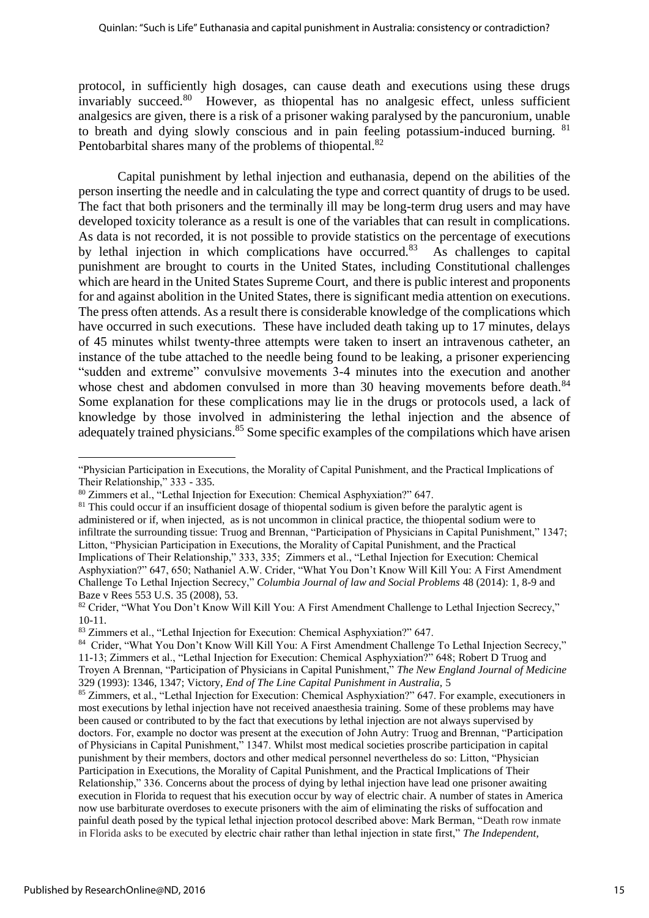protocol, in sufficiently high dosages, can cause death and executions using these drugs invariably succeed.<sup>80</sup> However, as thiopental has no analgesic effect, unless sufficient analgesics are given, there is a risk of a prisoner waking paralysed by the pancuronium, unable to breath and dying slowly conscious and in pain feeling potassium-induced burning. <sup>81</sup> Pentobarbital shares many of the problems of thiopental.<sup>82</sup>

Capital punishment by lethal injection and euthanasia, depend on the abilities of the person inserting the needle and in calculating the type and correct quantity of drugs to be used. The fact that both prisoners and the terminally ill may be long-term drug users and may have developed toxicity tolerance as a result is one of the variables that can result in complications. As data is not recorded, it is not possible to provide statistics on the percentage of executions by lethal injection in which complications have occurred.<sup>83</sup> As challenges to capital punishment are brought to courts in the United States, including Constitutional challenges which are heard in the United States Supreme Court, and there is public interest and proponents for and against abolition in the United States, there is significant media attention on executions. The press often attends. As a result there is considerable knowledge of the complications which have occurred in such executions. These have included death taking up to 17 minutes, delays of 45 minutes whilst twenty-three attempts were taken to insert an intravenous catheter, an instance of the tube attached to the needle being found to be leaking, a prisoner experiencing "sudden and extreme" convulsive movements 3-4 minutes into the execution and another whose chest and abdomen convulsed in more than 30 heaving movements before death.<sup>84</sup> Some explanation for these complications may lie in the drugs or protocols used, a lack of knowledge by those involved in administering the lethal injection and the absence of adequately trained physicians.<sup>85</sup> Some specific examples of the compilations which have arisen

<sup>&</sup>quot;Physician Participation in Executions, the Morality of Capital Punishment, and the Practical Implications of Their Relationship," 333 - 335.

<sup>80</sup> Zimmers et al., "Lethal Injection for Execution: Chemical Asphyxiation?" 647.

 $81$  This could occur if an insufficient dosage of thiopental sodium is given before the paralytic agent is administered or if, when injected, as is not uncommon in clinical practice, the thiopental sodium were to infiltrate the surrounding tissue: Truog and Brennan, "Participation of Physicians in Capital Punishment," 1347; Litton, "Physician Participation in Executions, the Morality of Capital Punishment, and the Practical Implications of Their Relationship," 333, 335;Zimmers et al., "Lethal Injection for Execution: Chemical Asphyxiation?" 647, 650; Nathaniel A.W. Crider, "What You Don't Know Will Kill You: A First Amendment Challenge To Lethal Injection Secrecy," *Columbia Journal of law and Social Problems* 48 (2014): 1, 8-9 and Baze v Rees 553 U.S. 35 (2008), 53.

<sup>82</sup> Crider, "What You Don't Know Will Kill You: A First Amendment Challenge to Lethal Injection Secrecy," 10-11.

<sup>83</sup> Zimmers et al., "Lethal Injection for Execution: Chemical Asphyxiation?" 647.

<sup>84</sup> Crider, "What You Don't Know Will Kill You: A First Amendment Challenge To Lethal Injection Secrecy," 11-13; Zimmers et al., "Lethal Injection for Execution: Chemical Asphyxiation?" 648; Robert D Truog and Troyen A Brennan, "Participation of Physicians in Capital Punishment," *The New England Journal of Medicine* 329 (1993): 1346, 1347; Victory, *End of The Line Capital Punishment in Australia,* 5

<sup>85</sup> Zimmers, et al., "Lethal Injection for Execution: Chemical Asphyxiation?" 647. For example, executioners in most executions by lethal injection have not received anaesthesia training. Some of these problems may have been caused or contributed to by the fact that executions by lethal injection are not always supervised by doctors. For, example no doctor was present at the execution of John Autry: Truog and Brennan, "Participation of Physicians in Capital Punishment," 1347. Whilst most medical societies proscribe participation in capital punishment by their members, doctors and other medical personnel nevertheless do so: Litton, "Physician Participation in Executions, the Morality of Capital Punishment, and the Practical Implications of Their Relationship," 336. Concerns about the process of dying by lethal injection have lead one prisoner awaiting execution in Florida to request that his execution occur by way of electric chair. A number of states in America now use barbiturate overdoses to execute prisoners with the aim of eliminating the risks of suffocation and painful death posed by the typical lethal injection protocol described above: Mark Berman, "Death row inmate in Florida asks to be executed by electric chair rather than lethal injection in state first," *The Independent*,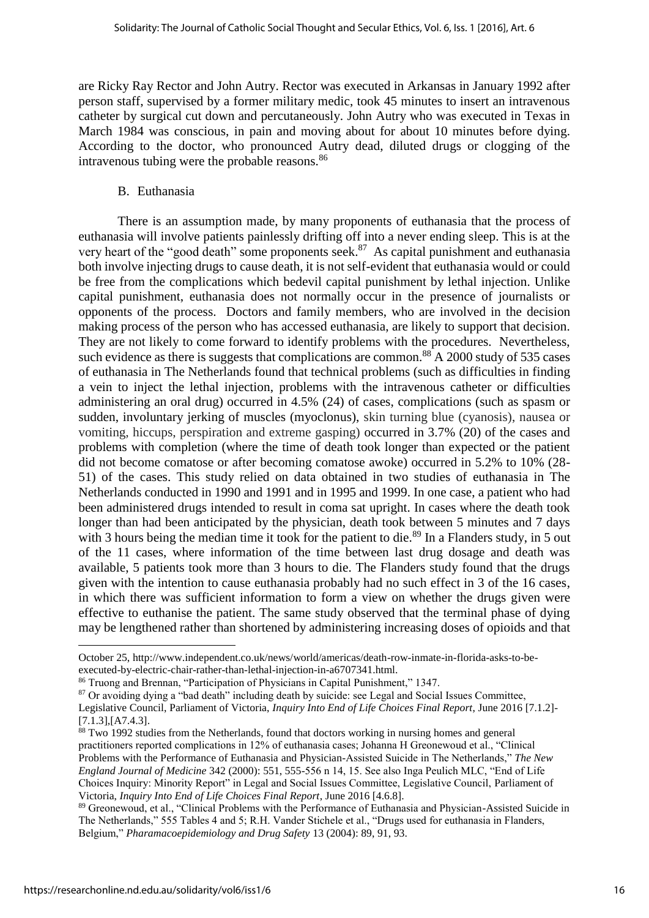are Ricky Ray Rector and John Autry. Rector was executed in Arkansas in January 1992 after person staff, supervised by a former military medic, took 45 minutes to insert an intravenous catheter by surgical cut down and percutaneously. John Autry who was executed in Texas in March 1984 was conscious, in pain and moving about for about 10 minutes before dying. According to the doctor, who pronounced Autry dead, diluted drugs or clogging of the intravenous tubing were the probable reasons.<sup>86</sup>

#### B. Euthanasia

There is an assumption made, by many proponents of euthanasia that the process of euthanasia will involve patients painlessly drifting off into a never ending sleep. This is at the very heart of the "good death" some proponents seek.<sup>87</sup> As capital punishment and euthanasia both involve injecting drugs to cause death, it is not self-evident that euthanasia would or could be free from the complications which bedevil capital punishment by lethal injection. Unlike capital punishment, euthanasia does not normally occur in the presence of journalists or opponents of the process. Doctors and family members, who are involved in the decision making process of the person who has accessed euthanasia, are likely to support that decision. They are not likely to come forward to identify problems with the procedures. Nevertheless, such evidence as there is suggests that complications are common.<sup>88</sup> A 2000 study of 535 cases of euthanasia in The Netherlands found that technical problems (such as difficulties in finding a vein to inject the lethal injection, problems with the intravenous catheter or difficulties administering an oral drug) occurred in 4.5% (24) of cases, complications (such as spasm or sudden, involuntary jerking of muscles (myoclonus), skin turning blue (cyanosis), nausea or vomiting, hiccups, perspiration and extreme gasping) occurred in 3.7% (20) of the cases and problems with completion (where the time of death took longer than expected or the patient did not become comatose or after becoming comatose awoke) occurred in 5.2% to 10% (28- 51) of the cases. This study relied on data obtained in two studies of euthanasia in The Netherlands conducted in 1990 and 1991 and in 1995 and 1999. In one case, a patient who had been administered drugs intended to result in coma sat upright. In cases where the death took longer than had been anticipated by the physician, death took between 5 minutes and 7 days with 3 hours being the median time it took for the patient to die.<sup>89</sup> In a Flanders study, in 5 out of the 11 cases, where information of the time between last drug dosage and death was available, 5 patients took more than 3 hours to die. The Flanders study found that the drugs given with the intention to cause euthanasia probably had no such effect in 3 of the 16 cases, in which there was sufficient information to form a view on whether the drugs given were effective to euthanise the patient. The same study observed that the terminal phase of dying may be lengthened rather than shortened by administering increasing doses of opioids and that

October 25[, http://www.independent.co.uk/news/world/americas/death-row-inmate-in-florida-asks-to-be](http://www.independent.co.uk/news/world/americas/death-row-inmate-in-florida-asks-to-be-executed-by-electric-chair-rather-than-lethal-injection-in-a6707341.html)[executed-by-electric-chair-rather-than-lethal-injection-in-a6707341.html.](http://www.independent.co.uk/news/world/americas/death-row-inmate-in-florida-asks-to-be-executed-by-electric-chair-rather-than-lethal-injection-in-a6707341.html)

<sup>86</sup> Truong and Brennan, "Participation of Physicians in Capital Punishment," 1347.

<sup>&</sup>lt;sup>87</sup> Or avoiding dying a "bad death" including death by suicide: see Legal and Social Issues Committee,

Legislative Council, Parliament of Victoria, *Inquiry Into End of Life Choices Final Report*, June 2016 [7.1.2]-  $[7.1.3]$ ,  $[A7.4.3]$ .

<sup>&</sup>lt;sup>88</sup> Two 1992 studies from the Netherlands, found that doctors working in nursing homes and general practitioners reported complications in 12% of euthanasia cases; Johanna H Greonewoud et al., "Clinical Problems with the Performance of Euthanasia and Physician-Assisted Suicide in The Netherlands," *The New England Journal of Medicine* 342 (2000): 551, 555-556 n 14, 15. See also Inga Peulich MLC, "End of Life Choices Inquiry: Minority Report" in Legal and Social Issues Committee, Legislative Council, Parliament of Victoria, *Inquiry Into End of Life Choices Final Report*, June 2016 [4.6.8].

<sup>89</sup> Greonewoud, et al., "Clinical Problems with the Performance of Euthanasia and Physician-Assisted Suicide in The Netherlands," 555 Tables 4 and 5; R.H. Vander Stichele et al., "Drugs used for euthanasia in Flanders, Belgium," *Pharamacoepidemiology and Drug Safety* 13 (2004): 89, 91, 93.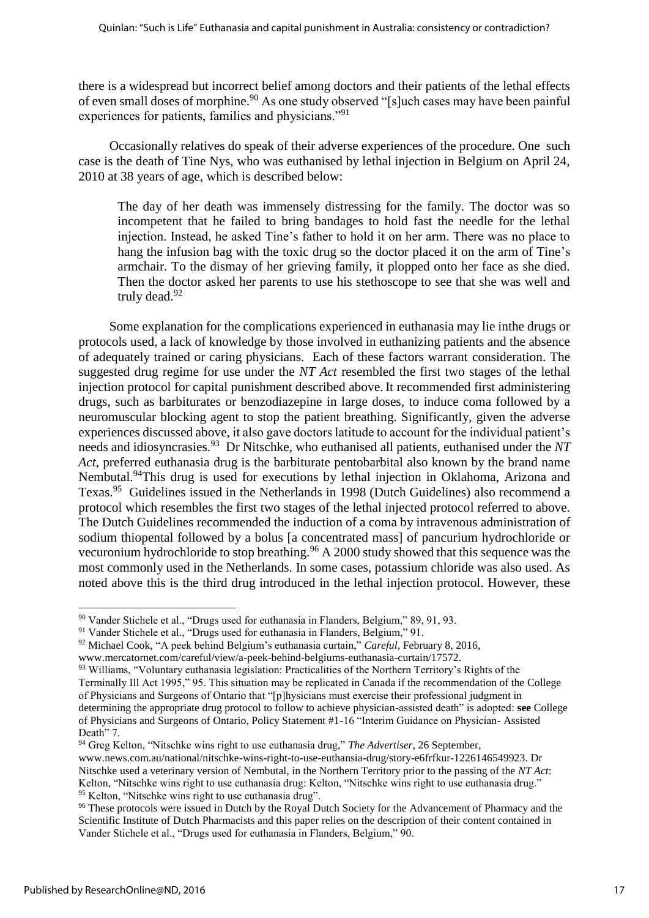there is a widespread but incorrect belief among doctors and their patients of the lethal effects of even small doses of morphine.<sup>90</sup> As one study observed "[s]uch cases may have been painful experiences for patients, families and physicians."<sup>91</sup>

Occasionally relatives do speak of their adverse experiences of the procedure. One such case is the death of Tine Nys, who was euthanised by lethal injection in Belgium on April 24, 2010 at 38 years of age, which is described below:

The day of her death was immensely distressing for the family. The doctor was so incompetent that he failed to bring bandages to hold fast the needle for the lethal injection. Instead, he asked Tine's father to hold it on her arm. There was no place to hang the infusion bag with the toxic drug so the doctor placed it on the arm of Tine's armchair. To the dismay of her grieving family, it plopped onto her face as she died. Then the doctor asked her parents to use his stethoscope to see that she was well and truly dead.<sup>92</sup>

Some explanation for the complications experienced in euthanasia may lie inthe drugs or protocols used, a lack of knowledge by those involved in euthanizing patients and the absence of adequately trained or caring physicians. Each of these factors warrant consideration. The suggested drug regime for use under the *NT Act* resembled the first two stages of the lethal injection protocol for capital punishment described above. It recommended first administering drugs, such as barbiturates or benzodiazepine in large doses, to induce coma followed by a neuromuscular blocking agent to stop the patient breathing. Significantly, given the adverse experiences discussed above, it also gave doctors latitude to account for the individual patient's needs and idiosyncrasies. 93 Dr Nitschke, who euthanised all patients, euthanised under the *NT Act,* preferred euthanasia drug is the barbiturate pentobarbital also known by the brand name Nembutal.<sup>94</sup>This drug is used for executions by lethal injection in Oklahoma, Arizona and Texas.<sup>95</sup> Guidelines issued in the Netherlands in 1998 (Dutch Guidelines) also recommend a protocol which resembles the first two stages of the lethal injected protocol referred to above. The Dutch Guidelines recommended the induction of a coma by intravenous administration of sodium thiopental followed by a bolus [a concentrated mass] of pancurium hydrochloride or vecuronium hydrochloride to stop breathing.<sup>96</sup> A 2000 study showed that this sequence was the most commonly used in the Netherlands. In some cases, potassium chloride was also used. As noted above this is the third drug introduced in the lethal injection protocol. However, these

<sup>90</sup> Vander Stichele et al., "Drugs used for euthanasia in Flanders, Belgium," 89, 91, 93.

<sup>91</sup> Vander Stichele et al., "Drugs used for euthanasia in Flanders, Belgium," 91.

<sup>92</sup> Michael Cook, "A peek behind Belgium's euthanasia curtain," *Careful*, February 8, 2016,

[www.mercatornet.com/careful/view/a-peek-behind-belgiums-euthanasia-curtain/17572.](http://www.mercatornet.com/careful/view/a-peek-behind-belgiums-euthanasia-curtain/17572)

<sup>&</sup>lt;sup>93</sup> Williams, "Voluntary euthanasia legislation: Practicalities of the Northern Territory's Rights of the Terminally Ill Act 1995," 95. This situation may be replicated in Canada if the recommendation of the College of Physicians and Surgeons of Ontario that "[p]hysicians must exercise their professional judgment in determining the appropriate drug protocol to follow to achieve physician-assisted death" is adopted: **see** College of Physicians and Surgeons of Ontario, Policy Statement #1-16 "Interim Guidance on Physician- Assisted Death" 7.

<sup>94</sup> Greg Kelton, "Nitschke wins right to use euthanasia drug," *The Advertiser*, 26 September, [www.news.com.au/national/nitschke-wins-right-to-use-euthansia-drug/story-e6frfkur-1226146549923.](http://www.news.com.au/national/nitschke-wins-right-to-use-euthansia-drug/story-e6frfkur-1226146549923) Dr Nitschke used a veterinary version of Nembutal, in the Northern Territory prior to the passing of the *NT Act*: Kelton, "Nitschke wins right to use euthanasia drug: Kelton, "Nitschke wins right to use euthanasia drug." <sup>95</sup> Kelton. "Nitschke wins right to use euthanasia drug".

<sup>&</sup>lt;sup>96</sup> These protocols were issued in Dutch by the Royal Dutch Society for the Advancement of Pharmacy and the Scientific Institute of Dutch Pharmacists and this paper relies on the description of their content contained in Vander Stichele et al., "Drugs used for euthanasia in Flanders, Belgium," 90.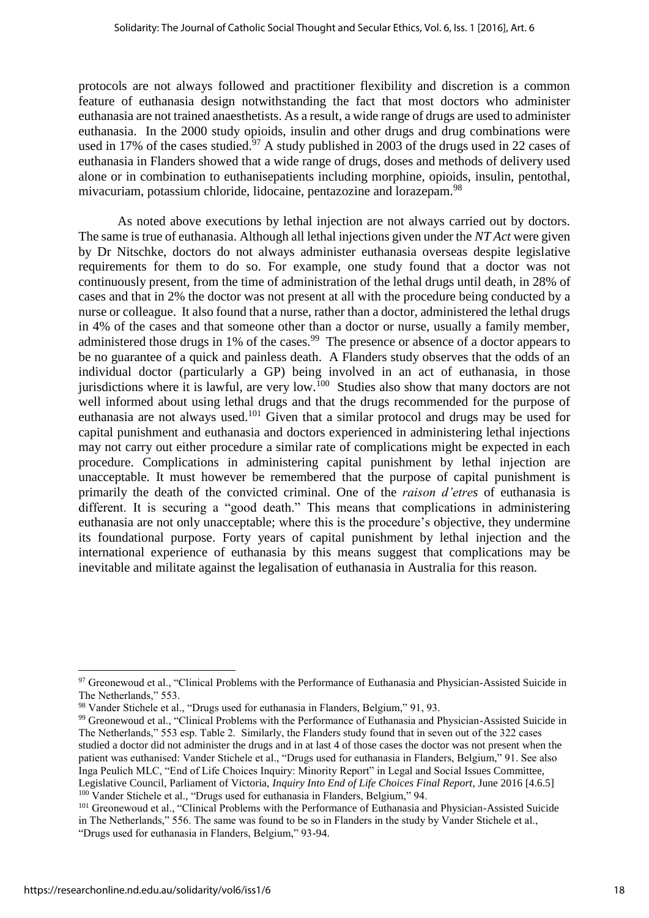protocols are not always followed and practitioner flexibility and discretion is a common feature of euthanasia design notwithstanding the fact that most doctors who administer euthanasia are not trained anaesthetists. As a result, a wide range of drugs are used to administer euthanasia. In the 2000 study opioids, insulin and other drugs and drug combinations were used in 17% of the cases studied.<sup>97</sup> A study published in 2003 of the drugs used in 22 cases of euthanasia in Flanders showed that a wide range of drugs, doses and methods of delivery used alone or in combination to euthanisepatients including morphine, opioids, insulin, pentothal, mivacuriam, potassium chloride, lidocaine, pentazozine and lorazepam.<sup>98</sup>

As noted above executions by lethal injection are not always carried out by doctors. The same is true of euthanasia. Although all lethal injections given under the *NT Act* were given by Dr Nitschke, doctors do not always administer euthanasia overseas despite legislative requirements for them to do so. For example, one study found that a doctor was not continuously present, from the time of administration of the lethal drugs until death, in 28% of cases and that in 2% the doctor was not present at all with the procedure being conducted by a nurse or colleague. It also found that a nurse, rather than a doctor, administered the lethal drugs in 4% of the cases and that someone other than a doctor or nurse, usually a family member, administered those drugs in 1% of the cases.<sup>99</sup> The presence or absence of a doctor appears to be no guarantee of a quick and painless death. A Flanders study observes that the odds of an individual doctor (particularly a GP) being involved in an act of euthanasia, in those jurisdictions where it is lawful, are very low.<sup>100</sup> Studies also show that many doctors are not well informed about using lethal drugs and that the drugs recommended for the purpose of euthanasia are not always used.<sup>101</sup> Given that a similar protocol and drugs may be used for capital punishment and euthanasia and doctors experienced in administering lethal injections may not carry out either procedure a similar rate of complications might be expected in each procedure. Complications in administering capital punishment by lethal injection are unacceptable. It must however be remembered that the purpose of capital punishment is primarily the death of the convicted criminal. One of the *raison d'etres* of euthanasia is different. It is securing a "good death." This means that complications in administering euthanasia are not only unacceptable; where this is the procedure's objective, they undermine its foundational purpose. Forty years of capital punishment by lethal injection and the international experience of euthanasia by this means suggest that complications may be inevitable and militate against the legalisation of euthanasia in Australia for this reason.

 $\overline{a}$ 

<sup>&</sup>lt;sup>97</sup> Greonewoud et al., "Clinical Problems with the Performance of Euthanasia and Physician-Assisted Suicide in The Netherlands," 553.

<sup>98</sup> Vander Stichele et al., "Drugs used for euthanasia in Flanders, Belgium," 91, 93.

<sup>&</sup>lt;sup>99</sup> Greonewoud et al., "Clinical Problems with the Performance of Euthanasia and Physician-Assisted Suicide in The Netherlands," 553 esp. Table 2. Similarly, the Flanders study found that in seven out of the 322 cases studied a doctor did not administer the drugs and in at last 4 of those cases the doctor was not present when the patient was euthanised: Vander Stichele et al., "Drugs used for euthanasia in Flanders, Belgium," 91. See also Inga Peulich MLC, "End of Life Choices Inquiry: Minority Report" in Legal and Social Issues Committee, Legislative Council, Parliament of Victoria, *Inquiry Into End of Life Choices Final Report*, June 2016 [4.6.5] <sup>100</sup> Vander Stichele et al., "Drugs used for euthanasia in Flanders, Belgium," 94.

<sup>&</sup>lt;sup>101</sup> Greonewoud et al., "Clinical Problems with the Performance of Euthanasia and Physician-Assisted Suicide in The Netherlands," 556. The same was found to be so in Flanders in the study by Vander Stichele et al., "Drugs used for euthanasia in Flanders, Belgium," 93-94.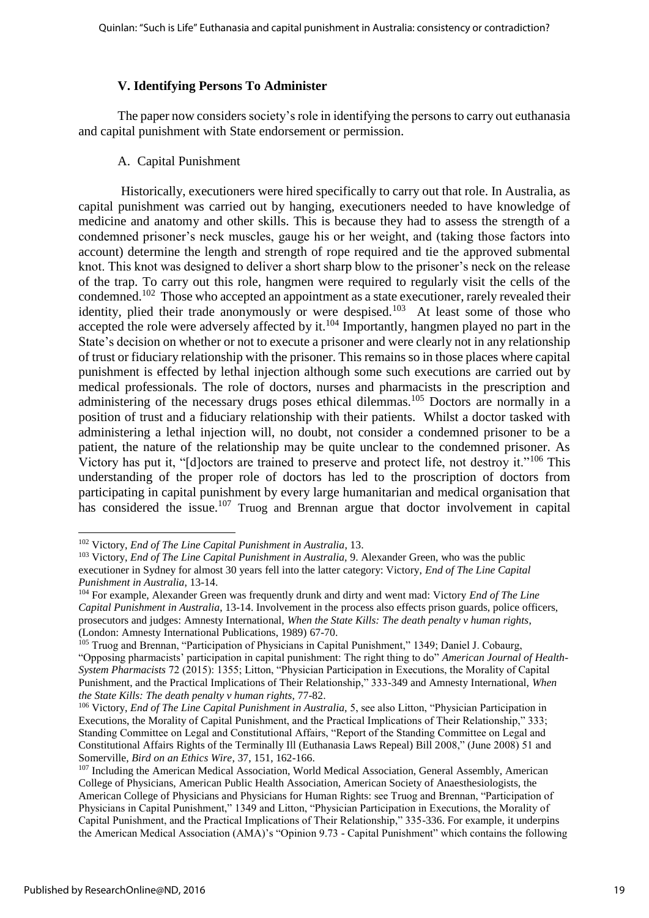#### **V. Identifying Persons To Administer**

The paper now considers society's role in identifying the persons to carry out euthanasia and capital punishment with State endorsement or permission.

#### A. Capital Punishment

Historically, executioners were hired specifically to carry out that role. In Australia, as capital punishment was carried out by hanging, executioners needed to have knowledge of medicine and anatomy and other skills. This is because they had to assess the strength of a condemned prisoner's neck muscles, gauge his or her weight, and (taking those factors into account) determine the length and strength of rope required and tie the approved submental knot. This knot was designed to deliver a short sharp blow to the prisoner's neck on the release of the trap. To carry out this role, hangmen were required to regularly visit the cells of the condemned.<sup>102</sup> Those who accepted an appointment as a state executioner, rarely revealed their identity, plied their trade anonymously or were despised.<sup>103</sup> At least some of those who accepted the role were adversely affected by it. $104$  Importantly, hangmen played no part in the State's decision on whether or not to execute a prisoner and were clearly not in any relationship of trust or fiduciary relationship with the prisoner. This remains so in those places where capital punishment is effected by lethal injection although some such executions are carried out by medical professionals. The role of doctors, nurses and pharmacists in the prescription and administering of the necessary drugs poses ethical dilemmas.<sup>105</sup> Doctors are normally in a position of trust and a fiduciary relationship with their patients. Whilst a doctor tasked with administering a lethal injection will, no doubt, not consider a condemned prisoner to be a patient, the nature of the relationship may be quite unclear to the condemned prisoner. As Victory has put it, "[d]octors are trained to preserve and protect life, not destroy it."<sup>106</sup> This understanding of the proper role of doctors has led to the proscription of doctors from participating in capital punishment by every large humanitarian and medical organisation that has considered the issue.<sup>107</sup> Truog and Brennan argue that doctor involvement in capital

**<sup>.</sup>** <sup>102</sup> Victory, *End of The Line Capital Punishment in Australia*, 13.

<sup>&</sup>lt;sup>103</sup> Victory, *End of The Line Capital Punishment in Australia*, 9. Alexander Green, who was the public executioner in Sydney for almost 30 years fell into the latter category: Victory, *End of The Line Capital Punishment in Australia*, 13-14.

<sup>104</sup> For example, Alexander Green was frequently drunk and dirty and went mad: Victory *End of The Line Capital Punishment in Australia*, 13-14. Involvement in the process also effects prison guards, police officers, prosecutors and judges: Amnesty International, *When the State Kills: The death penalty v human rights*, (London: Amnesty International Publications, 1989) 67-70.

<sup>105</sup> Truog and Brennan, "Participation of Physicians in Capital Punishment," 1349; Daniel J. Cobaurg, "Opposing pharmacists' participation in capital punishment: The right thing to do" *American Journal of Health-System Pharmacists* 72 (2015): 1355; Litton, "Physician Participation in Executions, the Morality of Capital Punishment, and the Practical Implications of Their Relationship," 333-349 and Amnesty International, *When the State Kills: The death penalty v human rights*, 77-82.

<sup>106</sup> Victory, *End of The Line Capital Punishment in Australia,* 5, see also Litton, "Physician Participation in Executions, the Morality of Capital Punishment, and the Practical Implications of Their Relationship," 333; Standing Committee on Legal and Constitutional Affairs, "Report of the Standing Committee on Legal and Constitutional Affairs Rights of the Terminally Ill (Euthanasia Laws Repeal) Bill 2008," (June 2008) 51 and Somerville, *Bird on an Ethics Wire*, 37, 151, 162-166.

<sup>&</sup>lt;sup>107</sup> Including the American Medical Association, World Medical Association, General Assembly, American College of Physicians, American Public Health Association, American Society of Anaesthesiologists, the American College of Physicians and Physicians for Human Rights: see Truog and Brennan, "Participation of Physicians in Capital Punishment," 1349 and Litton, "Physician Participation in Executions, the Morality of Capital Punishment, and the Practical Implications of Their Relationship," 335-336. For example, it underpins the American Medical Association (AMA)'s "Opinion 9.73 - Capital Punishment" which contains the following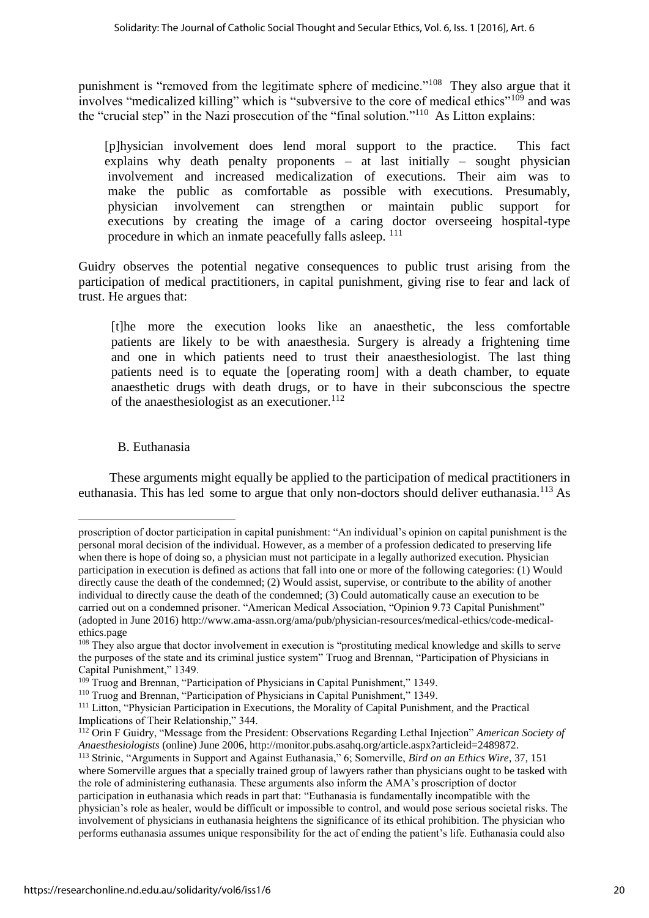punishment is "removed from the legitimate sphere of medicine."<sup>108</sup> They also argue that it involves "medicalized killing" which is "subversive to the core of medical ethics"<sup>109</sup> and was the "crucial step" in the Nazi prosecution of the "final solution."<sup>110</sup> As Litton explains:

 [p]hysician involvement does lend moral support to the practice. This fact explains why death penalty proponents – at last initially – sought physician involvement and increased medicalization of executions. Their aim was to make the public as comfortable as possible with executions. Presumably, physician involvement can strengthen or maintain public support for executions by creating the image of a caring doctor overseeing hospital-type procedure in which an inmate peacefully falls asleep.  $^{111}$ 

Guidry observes the potential negative consequences to public trust arising from the participation of medical practitioners, in capital punishment, giving rise to fear and lack of trust. He argues that:

 [t]he more the execution looks like an anaesthetic, the less comfortable patients are likely to be with anaesthesia. Surgery is already a frightening time and one in which patients need to trust their anaesthesiologist. The last thing patients need is to equate the [operating room] with a death chamber, to equate anaesthetic drugs with death drugs, or to have in their subconscious the spectre of the anaesthesiologist as an executioner. $112$ 

## B. Euthanasia

1

These arguments might equally be applied to the participation of medical practitioners in euthanasia. This has led some to argue that only non-doctors should deliver euthanasia.<sup>113</sup> As

proscription of doctor participation in capital punishment: "An individual's opinion on capital punishment is the personal moral decision of the individual. However, as a member of a profession dedicated to preserving life when there is hope of doing so, a physician must not participate in a legally authorized execution. Physician participation in execution is defined as actions that fall into one or more of the following categories: (1) Would directly cause the death of the condemned; (2) Would assist, supervise, or contribute to the ability of another individual to directly cause the death of the condemned; (3) Could automatically cause an execution to be carried out on a condemned prisoner. "American Medical Association, "Opinion 9.73 Capital Punishment" (adopted in June 2016) [http://www.ama-assn.org/ama/pub/physician-resources/medical-ethics/code-medical](http://www.ama-assn.org/ama/pub/physician-resources/medical-ethics/code-medical-ethics.page)[ethics.page](http://www.ama-assn.org/ama/pub/physician-resources/medical-ethics/code-medical-ethics.page)

<sup>&</sup>lt;sup>108</sup> They also argue that doctor involvement in execution is "prostituting medical knowledge and skills to serve the purposes of the state and its criminal justice system" Truog and Brennan, "Participation of Physicians in Capital Punishment," 1349.

<sup>109</sup> Truog and Brennan, "Participation of Physicians in Capital Punishment," 1349.

<sup>110</sup> Truog and Brennan, "Participation of Physicians in Capital Punishment," 1349.

<sup>&</sup>lt;sup>111</sup> Litton, "Physician Participation in Executions, the Morality of Capital Punishment, and the Practical Implications of Their Relationship," 344.

<sup>112</sup> Orin F Guidry, "Message from the President: Observations Regarding Lethal Injection" *American Society of Anaesthesiologists* (online) June 2006, http://monitor.pubs.asahq.org/article.aspx?articleid=2489872.

<sup>113</sup> Strinic, "Arguments in Support and Against Euthanasia," 6; Somerville, *Bird on an Ethics Wire*, 37, 151 where Somerville argues that a specially trained group of lawyers rather than physicians ought to be tasked with the role of administering euthanasia. These arguments also inform the AMA's proscription of doctor participation in euthanasia which reads in part that: "Euthanasia is fundamentally incompatible with the physician's role as healer, would be difficult or impossible to control, and would pose serious societal risks. The involvement of physicians in euthanasia heightens the significance of its ethical prohibition. The physician who performs euthanasia assumes unique responsibility for the act of ending the patient's life. Euthanasia could also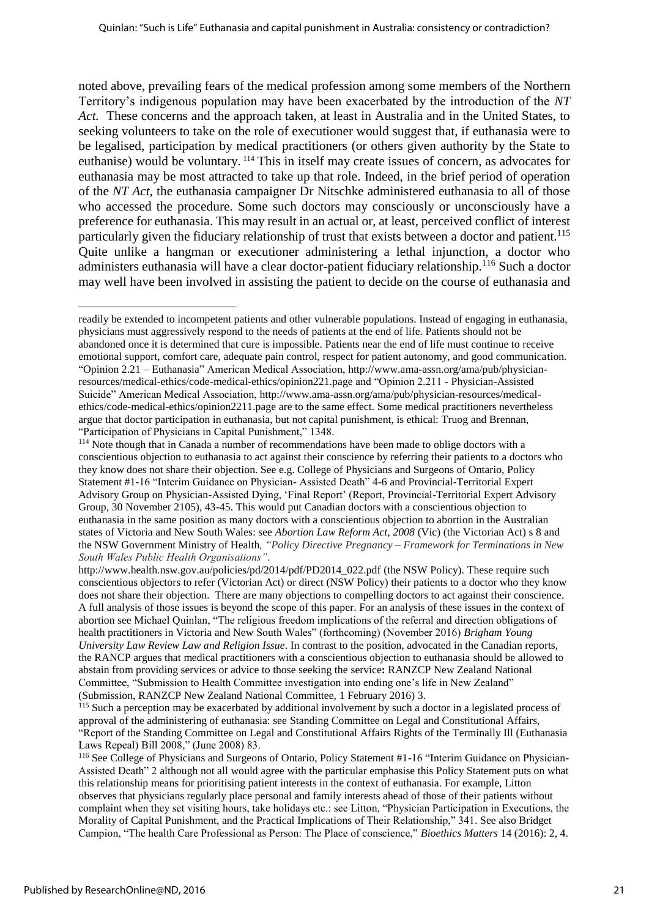noted above, prevailing fears of the medical profession among some members of the Northern Territory's indigenous population may have been exacerbated by the introduction of the *NT Act.* These concerns and the approach taken, at least in Australia and in the United States, to seeking volunteers to take on the role of executioner would suggest that, if euthanasia were to be legalised, participation by medical practitioners (or others given authority by the State to euthanise) would be voluntary. <sup>114</sup> This in itself may create issues of concern, as advocates for euthanasia may be most attracted to take up that role. Indeed, in the brief period of operation of the *NT Act,* the euthanasia campaigner Dr Nitschke administered euthanasia to all of those who accessed the procedure. Some such doctors may consciously or unconsciously have a preference for euthanasia. This may result in an actual or, at least, perceived conflict of interest particularly given the fiduciary relationship of trust that exists between a doctor and patient.<sup>115</sup> Quite unlike a hangman or executioner administering a lethal injunction, a doctor who administers euthanasia will have a clear doctor-patient fiduciary relationship.<sup>116</sup> Such a doctor may well have been involved in assisting the patient to decide on the course of euthanasia and

readily be extended to incompetent patients and other vulnerable populations. Instead of engaging in euthanasia, physicians must aggressively respond to the needs of patients at the end of life. Patients should not be abandoned once it is determined that cure is impossible. Patients near the end of life must continue to receive emotional support, comfort care, adequate pain control, respect for patient autonomy, and good communication. "Opinion 2.21 – Euthanasia" American Medical Association, [http://www.ama-assn.org/ama/pub/physician](http://www.ama-assn.org/ama/pub/physician-resources/medical-ethics/code-medical-ethics/opinion221.page)[resources/medical-ethics/code-medical-ethics/opinion221.page](http://www.ama-assn.org/ama/pub/physician-resources/medical-ethics/code-medical-ethics/opinion221.page) and "Opinion 2.211 - Physician-Assisted Suicide" American Medical Association, [http://www.ama-assn.org/ama/pub/physician-resources/medical](http://www.ama-assn.org/ama/pub/physician-resources/medical-ethics/code-medical-ethics/opinion2211.page)[ethics/code-medical-ethics/opinion2211.page](http://www.ama-assn.org/ama/pub/physician-resources/medical-ethics/code-medical-ethics/opinion2211.page) are to the same effect. Some medical practitioners nevertheless argue that doctor participation in euthanasia, but not capital punishment, is ethical: Truog and Brennan, "Participation of Physicians in Capital Punishment," 1348.

<sup>&</sup>lt;sup>114</sup> Note though that in Canada a number of recommendations have been made to oblige doctors with a conscientious objection to euthanasia to act against their conscience by referring their patients to a doctors who they know does not share their objection. See e.g. College of Physicians and Surgeons of Ontario, Policy Statement #1-16 "Interim Guidance on Physician- Assisted Death" 4-6 and Provincial-Territorial Expert Advisory Group on Physician-Assisted Dying, 'Final Report' (Report, Provincial-Territorial Expert Advisory Group, 30 November 2105), 43-45. This would put Canadian doctors with a conscientious objection to euthanasia in the same position as many doctors with a conscientious objection to abortion in the Australian states of Victoria and New South Wales: see *Abortion Law Reform Act, 2008* (Vic) (the Victorian Act) s 8 and the NSW Government Ministry of Health*, "Policy Directive Pregnancy – Framework for Terminations in New South Wales Public Health Organisations"*.

[http://www.health.nsw.gov.au/policies/pd/2014/pdf/PD2014\\_022.pdf](http://www.health.nsw.gov.au/policies/pd/2014/pdf/PD2014_022.pdf) (the NSW Policy). These require such conscientious objectors to refer (Victorian Act) or direct (NSW Policy) their patients to a doctor who they know does not share their objection. There are many objections to compelling doctors to act against their conscience. A full analysis of those issues is beyond the scope of this paper. For an analysis of these issues in the context of abortion see Michael Quinlan, "The religious freedom implications of the referral and direction obligations of health practitioners in Victoria and New South Wales" (forthcoming) (November 2016) *Brigham Young University Law Review Law and Religion Issue*. In contrast to the position, advocated in the Canadian reports, the RANCP argues that medical practitioners with a conscientious objection to euthanasia should be allowed to abstain from providing services or advice to those seeking the service**:** RANZCP New Zealand National Committee, "Submission to Health Committee investigation into ending one's life in New Zealand" (Submission, RANZCP New Zealand National Committee, 1 February 2016) 3.

<sup>&</sup>lt;sup>115</sup> Such a perception may be exacerbated by additional involvement by such a doctor in a legislated process of approval of the administering of euthanasia: see Standing Committee on Legal and Constitutional Affairs, "Report of the Standing Committee on Legal and Constitutional Affairs Rights of the Terminally Ill (Euthanasia Laws Repeal) Bill 2008," (June 2008) 83.

<sup>116</sup> See College of Physicians and Surgeons of Ontario, Policy Statement #1-16 "Interim Guidance on Physician-Assisted Death" 2 although not all would agree with the particular emphasise this Policy Statement puts on what this relationship means for prioritising patient interests in the context of euthanasia. For example, Litton observes that physicians regularly place personal and family interests ahead of those of their patients without complaint when they set visiting hours, take holidays etc.: see Litton, "Physician Participation in Executions, the Morality of Capital Punishment, and the Practical Implications of Their Relationship," 341. See also Bridget Campion, "The health Care Professional as Person: The Place of conscience," *Bioethics Matters* 14 (2016): 2, 4.